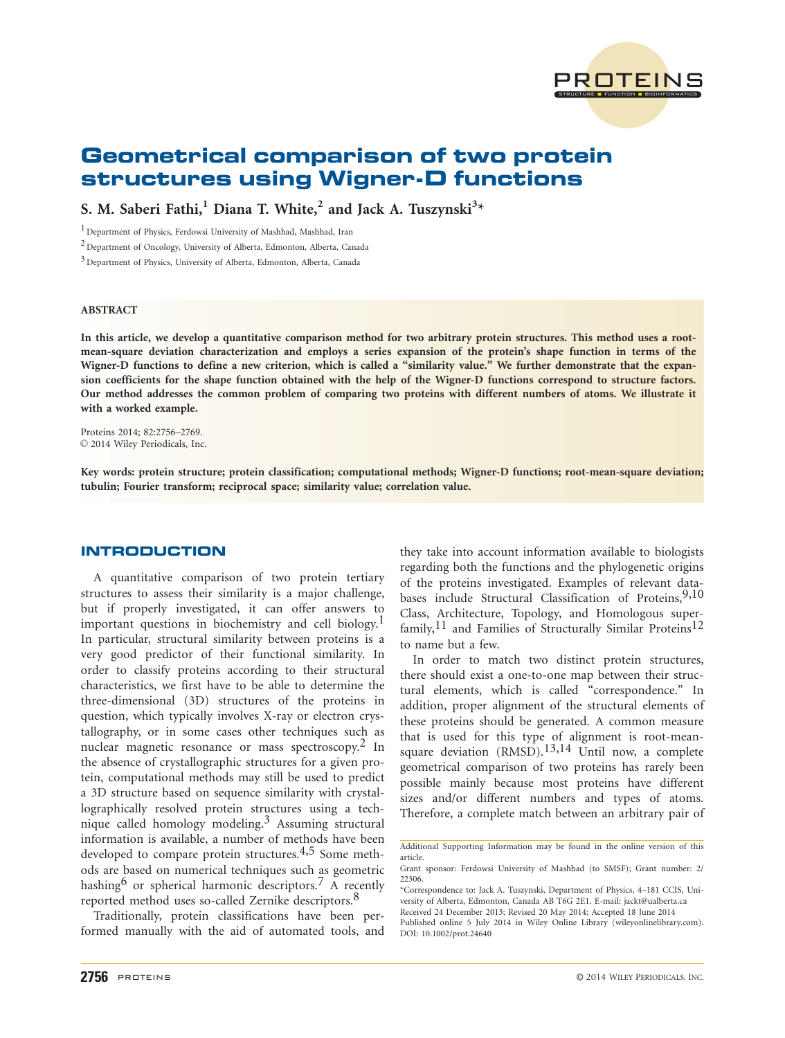

# Geometrical comparison of two protein structures using Wigner-D functions

S. M. Saberi Fathi,<sup>1</sup> Diana T. White,<sup>2</sup> and Jack A. Tuszynski<sup>3</sup>\*

<sup>1</sup> Department of Physics, Ferdowsi University of Mashhad, Mashhad, Iran

<sup>2</sup> Department of Oncology, University of Alberta, Edmonton, Alberta, Canada

<sup>3</sup> Department of Physics, University of Alberta, Edmonton, Alberta, Canada

# ABSTRACT

In this article, we develop a quantitative comparison method for two arbitrary protein structures. This method uses a rootmean-square deviation characterization and employs a series expansion of the protein's shape function in terms of the Wigner-D functions to define a new criterion, which is called a "similarity value." We further demonstrate that the expansion coefficients for the shape function obtained with the help of the Wigner-D functions correspond to structure factors. Our method addresses the common problem of comparing two proteins with different numbers of atoms. We illustrate it with a worked example.

Proteins 2014; 82:2756–2769.  $©$  2014 Wiley Periodicals, Inc.

Key words: protein structure; protein classification; computational methods; Wigner-D functions; root-mean-square deviation; tubulin; Fourier transform; reciprocal space; similarity value; correlation value.

# INTRODUCTION

A quantitative comparison of two protein tertiary structures to assess their similarity is a major challenge, but if properly investigated, it can offer answers to important questions in biochemistry and cell biology.<sup>1</sup> In particular, structural similarity between proteins is a very good predictor of their functional similarity. In order to classify proteins according to their structural characteristics, we first have to be able to determine the three-dimensional (3D) structures of the proteins in question, which typically involves X-ray or electron crystallography, or in some cases other techniques such as nuclear magnetic resonance or mass spectroscopy.2 In the absence of crystallographic structures for a given protein, computational methods may still be used to predict a 3D structure based on sequence similarity with crystallographically resolved protein structures using a technique called homology modeling.3 Assuming structural information is available, a number of methods have been developed to compare protein structures.<sup>4,5</sup> Some methods are based on numerical techniques such as geometric hashing<sup>6</sup> or spherical harmonic descriptors.<sup>7</sup> A recently reported method uses so-called Zernike descriptors.8

Traditionally, protein classifications have been performed manually with the aid of automated tools, and

they take into account information available to biologists regarding both the functions and the phylogenetic origins of the proteins investigated. Examples of relevant databases include Structural Classification of Proteins, 9,10 Class, Architecture, Topology, and Homologous superfamily,  $11$  and Families of Structurally Similar Proteins  $12$ to name but a few.

In order to match two distinct protein structures, there should exist a one-to-one map between their structural elements, which is called "correspondence." In addition, proper alignment of the structural elements of these proteins should be generated. A common measure that is used for this type of alignment is root-meansquare deviation  $(RMSD)$ .<sup>13,14</sup> Until now, a complete geometrical comparison of two proteins has rarely been possible mainly because most proteins have different sizes and/or different numbers and types of atoms. Therefore, a complete match between an arbitrary pair of

Additional Supporting Information may be found in the online version of this article.

Grant sponsor: Ferdowsi University of Mashhad (to SMSF); Grant number: 2/ 22306.

<sup>\*</sup>Correspondence to: Jack A. Tuszynski, Department of Physics, 4–181 CCIS, University of Alberta, Edmonton, Canada AB T6G 2E1. E-mail: jackt@ualberta.ca Received 24 December 2013; Revised 20 May 2014; Accepted 18 June 2014

Published online 5 July 2014 in Wiley Online Library (wileyonlinelibrary.com). DOI: 10.1002/prot.24640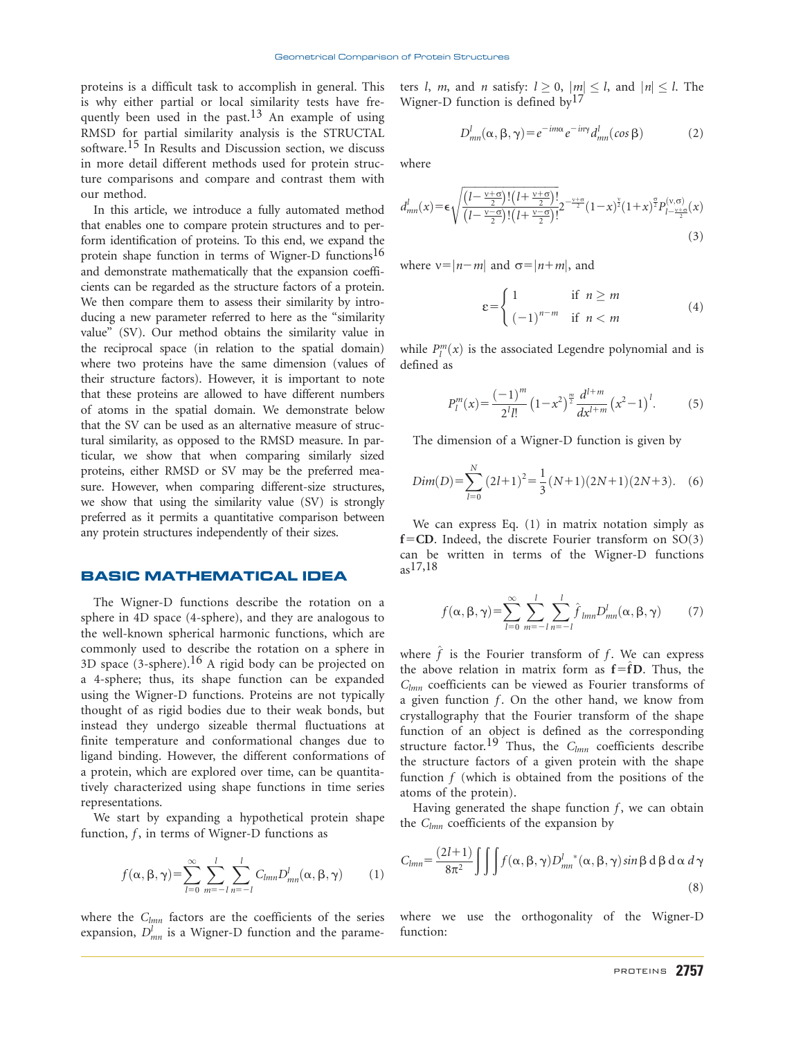proteins is a difficult task to accomplish in general. This is why either partial or local similarity tests have frequently been used in the past.<sup>13</sup> An example of using RMSD for partial similarity analysis is the STRUCTAL software.<sup>15</sup> In Results and Discussion section, we discuss in more detail different methods used for protein structure comparisons and compare and contrast them with our method.

In this article, we introduce a fully automated method that enables one to compare protein structures and to perform identification of proteins. To this end, we expand the protein shape function in terms of Wigner-D functions<sup>16</sup> and demonstrate mathematically that the expansion coefficients can be regarded as the structure factors of a protein. We then compare them to assess their similarity by introducing a new parameter referred to here as the "similarity value" (SV). Our method obtains the similarity value in the reciprocal space (in relation to the spatial domain) where two proteins have the same dimension (values of their structure factors). However, it is important to note that these proteins are allowed to have different numbers of atoms in the spatial domain. We demonstrate below that the SV can be used as an alternative measure of structural similarity, as opposed to the RMSD measure. In particular, we show that when comparing similarly sized proteins, either RMSD or SV may be the preferred measure. However, when comparing different-size structures, we show that using the similarity value (SV) is strongly preferred as it permits a quantitative comparison between any protein structures independently of their sizes.

# BASIC MATHEMATICAL IDEA

The Wigner-D functions describe the rotation on a sphere in 4D space (4-sphere), and they are analogous to the well-known spherical harmonic functions, which are commonly used to describe the rotation on a sphere in 3D space (3-sphere).<sup>16</sup> A rigid body can be projected on a 4-sphere; thus, its shape function can be expanded using the Wigner-D functions. Proteins are not typically thought of as rigid bodies due to their weak bonds, but instead they undergo sizeable thermal fluctuations at finite temperature and conformational changes due to ligand binding. However, the different conformations of a protein, which are explored over time, can be quantitatively characterized using shape functions in time series representations.

We start by expanding a hypothetical protein shape function,  $f$ , in terms of Wigner-D functions as

$$
f(\alpha, \beta, \gamma) = \sum_{l=0}^{\infty} \sum_{m=-l}^{l} \sum_{n=-l}^{l} C_{lmn} D_{mn}^{l}(\alpha, \beta, \gamma)
$$
 (1)

where the  $C_{lmn}$  factors are the coefficients of the series expansion,  $D_{mn}^l$  is a Wigner-D function and the parameters *l*, *m*, and *n* satisfy:  $l \geq 0$ ,  $|m| \leq l$ , and  $|n| \leq l$ . The Wigner-D function is defined by<sup>17</sup>

$$
D_{mn}^l(\alpha, \beta, \gamma) = e^{-im\alpha} e^{-in\gamma} d_{mn}^l(\cos \beta)
$$
 (2)

where

$$
d_{mn}^l(x) = \epsilon \sqrt{\frac{\left(l - \frac{\nu + \sigma}{2}\right)!\left(l + \frac{\nu + \sigma}{2}\right)!}{\left(l - \frac{\nu - \sigma}{2}\right)!\left(l + \frac{\nu - \sigma}{2}\right)!}} 2^{-\frac{\nu + \sigma}{2}} (1 - x)^{\frac{\nu}{2}} (1 + x)^{\frac{\sigma}{2}} P_{l - \frac{\nu + \sigma}{2}}^{(\nu, \sigma)}(x)
$$
\n(3)

where  $v=|n-m|$  and  $\sigma=|n+m|$ , and

$$
\varepsilon = \begin{cases} 1 & \text{if } n \ge m \\ (-1)^{n-m} & \text{if } n < m \end{cases} \tag{4}
$$

while  $P_l^m(x)$  is the associated Legendre polynomial and is defined as

$$
P_l^m(x) = \frac{(-1)^m}{2^l l!} \left(1 - x^2\right)^{\frac{m}{2}} \frac{d^{l+m}}{dx^{l+m}} \left(x^2 - 1\right)^l. \tag{5}
$$

The dimension of a Wigner-D function is given by

$$
Dim(D) = \sum_{l=0}^{N} (2l+1)^{2} = \frac{1}{3}(N+1)(2N+1)(2N+3). \quad (6)
$$

We can express Eq. (1) in matrix notation simply as  $f=CD$ . Indeed, the discrete Fourier transform on SO(3) can be written in terms of the Wigner-D functions as17,18

$$
f(\alpha, \beta, \gamma) = \sum_{l=0}^{\infty} \sum_{m=-l}^{l} \sum_{n=-l}^{l} \hat{f}_{lmn} D^{l}_{mn}(\alpha, \beta, \gamma)
$$
 (7)

where  $\hat{f}$  is the Fourier transform of f. We can express the above relation in matrix form as  $f=fD$ . Thus, the  $C<sub>lmn</sub>$  coefficients can be viewed as Fourier transforms of a given function  $f$ . On the other hand, we know from crystallography that the Fourier transform of the shape function of an object is defined as the corresponding structure factor.<sup>19</sup> Thus, the  $C_{lmn}$  coefficients describe the structure factors of a given protein with the shape function  $f$  (which is obtained from the positions of the atoms of the protein).

Having generated the shape function  $f$ , we can obtain the  $C_{lmn}$  coefficients of the expansion by

$$
C_{lmn} = \frac{(2l+1)}{8\pi^2} \iiint f(\alpha, \beta, \gamma) D_{mn}^{l}{}^*(\alpha, \beta, \gamma) sin \beta d\beta d\alpha d\gamma
$$
\n(8)

where we use the orthogonality of the Wigner-D function: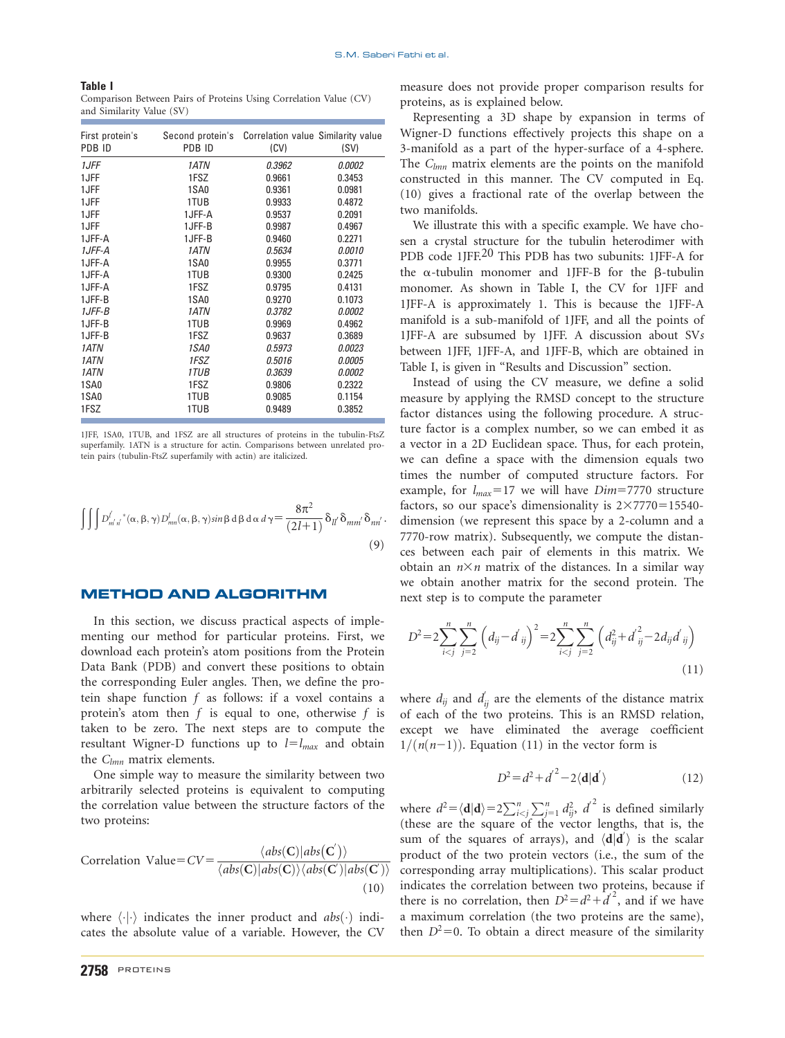Table I Comparison Between Pairs of Proteins Using Correlation Value (CV) and Similarity Value (SV)

| First protein's<br>PDB ID | Second protein's<br>PDB ID | Correlation value Similarity value<br>(CV) | (SV)          |
|---------------------------|----------------------------|--------------------------------------------|---------------|
| 1JFF                      | 1ATN                       | 0.3962                                     | <i>0.0002</i> |
| 1JFF                      | 1FSZ                       | 0.9661                                     | 0.3453        |
| 1JFF                      | 1SA0                       | 0.9361                                     | 0.0981        |
| 1JFF                      | 1TUB                       | 0.9933                                     | 0.4872        |
| 1JFF                      | 1JFF-A                     | 0.9537                                     | 0.2091        |
| 1JFF                      | 1JFF-B                     | 0.9987                                     | 0.4967        |
| 1JFF-A                    | 1JFF-B                     | 0.9460                                     | 0.2271        |
| 1JFF-A                    | 1ATN                       | 0.5634                                     | 0.0010        |
| 1JFF-A                    | 1SA0                       | 0.9955                                     | 0.3771        |
| 1JFF-A                    | 1TUB                       | 0.9300                                     | 0.2425        |
| 1JFF-A                    | 1FSZ                       | 0.9795                                     | 0.4131        |
| 1JFF-B                    | 1SA0                       | 0.9270                                     | 0.1073        |
| 1JFF-B                    | 1ATN                       | 0.3782                                     | 0.0002        |
| 1JFF-B                    | 1TUB                       | 0.9969                                     | 0.4962        |
| 1JFF-B                    | 1FSZ                       | 0.9637                                     | 0.3689        |
| 1ATN                      | <i>1SA0</i>                | 0.5973                                     | <i>0.0023</i> |
| 1ATN                      | 1FSZ                       | 0.5016                                     | 0.0005        |
| 1ATN                      | 1TUB                       | 0.3639                                     | 0.0002        |
| 1SA0                      | 1FSZ                       | 0.9806                                     | 0.2322        |
| 1SA0                      | 1TUB                       | 0.9085                                     | 0.1154        |
| 1FSZ                      | 1TUB                       | 0.9489                                     | 0.3852        |

1JFF, 1SA0, 1TUB, and 1FSZ are all structures of proteins in the tubulin-FtsZ superfamily. 1ATN is a structure for actin. Comparisons between unrelated protein pairs (tubulin-FtsZ superfamily with actin) are italicized.

$$
\iiint D_{m'n'}^{l} (\alpha, \beta, \gamma) D_{mn}^{l}(\alpha, \beta, \gamma) sin \beta d\beta d\alpha d\gamma = \frac{8\pi^2}{(2l+1)} \delta_{ll'} \delta_{mm'} \delta_{nn'}.
$$
\n(9)

# METHOD AND ALGORITHM

In this section, we discuss practical aspects of implementing our method for particular proteins. First, we download each protein's atom positions from the Protein Data Bank (PDB) and convert these positions to obtain the corresponding Euler angles. Then, we define the protein shape function  $f$  as follows: if a voxel contains a protein's atom then  $f$  is equal to one, otherwise  $f$  is taken to be zero. The next steps are to compute the resultant Wigner-D functions up to  $l=l_{max}$  and obtain the  $C_{lmn}$  matrix elements.

One simple way to measure the similarity between two arbitrarily selected proteins is equivalent to computing the correlation value between the structure factors of the two proteins:

Correlation Value=CV = 
$$
\frac{\langle abs(C)|abs(C')\rangle}{\langle abs(C)|abs(C)\rangle\langle abs(C')|abs(C')\rangle}
$$
 (10)

where  $\langle \cdot | \cdot \rangle$  indicates the inner product and  $abs(\cdot)$  indicates the absolute value of a variable. However, the CV measure does not provide proper comparison results for proteins, as is explained below.

Representing a 3D shape by expansion in terms of Wigner-D functions effectively projects this shape on a 3-manifold as a part of the hyper-surface of a 4-sphere. The  $C_{lmn}$  matrix elements are the points on the manifold constructed in this manner. The CV computed in Eq. (10) gives a fractional rate of the overlap between the two manifolds.

We illustrate this with a specific example. We have chosen a crystal structure for the tubulin heterodimer with PDB code 1JFF.20 This PDB has two subunits: 1JFF-A for the  $\alpha$ -tubulin monomer and 1JFF-B for the  $\beta$ -tubulin monomer. As shown in Table I, the CV for 1JFF and 1JFF-A is approximately 1. This is because the 1JFF-A manifold is a sub-manifold of 1JFF, and all the points of 1JFF-A are subsumed by 1JFF. A discussion about SVs between 1JFF, 1JFF-A, and 1JFF-B, which are obtained in Table I, is given in "Results and Discussion" section.

Instead of using the CV measure, we define a solid measure by applying the RMSD concept to the structure factor distances using the following procedure. A structure factor is a complex number, so we can embed it as a vector in a 2D Euclidean space. Thus, for each protein, we can define a space with the dimension equals two times the number of computed structure factors. For example, for  $l_{max}=17$  we will have  $Dim=7770$  structure factors, so our space's dimensionality is  $2\times7770=15540$ dimension (we represent this space by a 2-column and a 7770-row matrix). Subsequently, we compute the distances between each pair of elements in this matrix. We obtain an  $n \times n$  matrix of the distances. In a similar way we obtain another matrix for the second protein. The next step is to compute the parameter

$$
D^{2} = 2\sum_{i < j}^{n} \sum_{j=2}^{n} \left( d_{ij} - d'_{ij} \right)^{2} = 2\sum_{i < j}^{n} \sum_{j=2}^{n} \left( d_{ij}^{2} + d'_{ij}^{2} - 2d_{ij}d'_{ij} \right) \tag{11}
$$

where  $d_{ij}$  and  $d'_{ij}$  are the elements of the distance matrix of each of the two proteins. This is an RMSD relation, except we have eliminated the average coefficient  $1/(n(n-1))$ . Equation (11) in the vector form is

$$
D^2 = d^2 + {d'}^2 - 2\langle \mathbf{d} | \mathbf{d}' \rangle \tag{12}
$$

where  $d^2 = \langle \mathbf{d} | \mathbf{d} \rangle = 2 \sum_{i < j}^n \sum_{j=1}^n d_{ij}^2$ ,  $d^2$  is defined similarly (these are the square of the vector lengths, that is, the sum of the squares of arrays), and  $\langle d|d'\rangle$  is the scalar product of the two protein vectors (i.e., the sum of the corresponding array multiplications). This scalar product indicates the correlation between two proteins, because if there is no correlation, then  $D^2 = d^2 + d^2$ , and if we have a maximum correlation (the two proteins are the same), then  $D^2=0$ . To obtain a direct measure of the similarity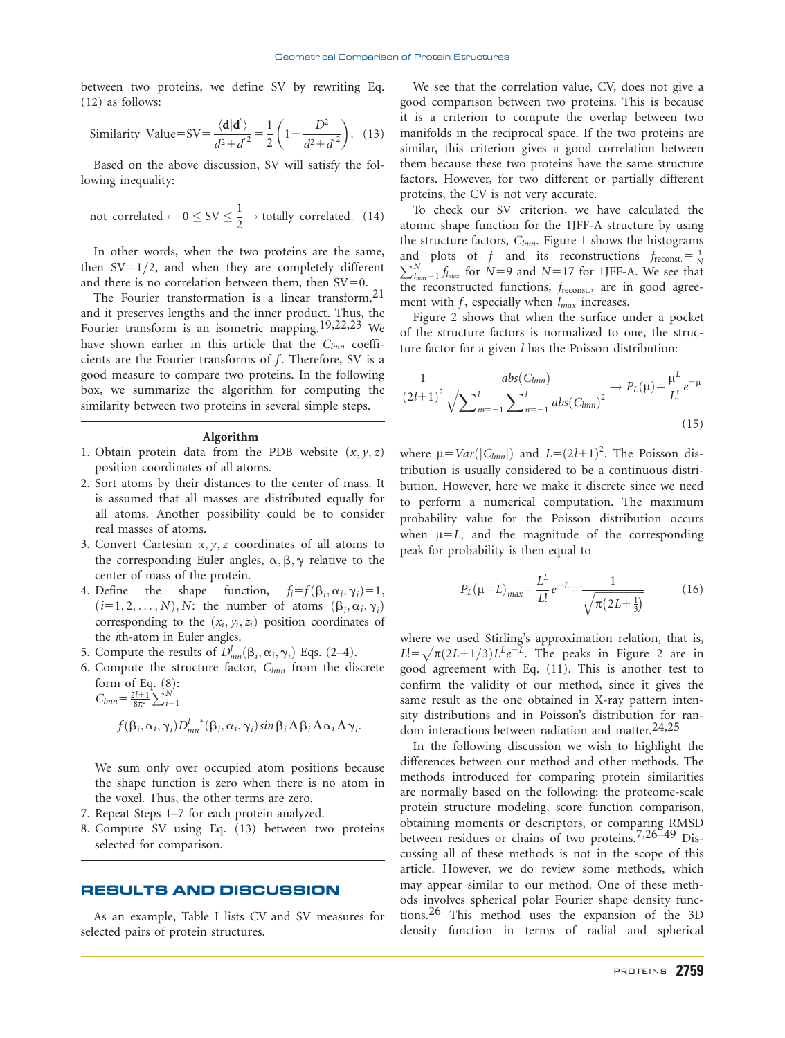between two proteins, we define SV by rewriting Eq. (12) as follows:

$$
\text{Similarity Value} = \text{SV} = \frac{\langle \mathbf{d} | \mathbf{d}' \rangle}{d^2 + d'^2} = \frac{1}{2} \left( 1 - \frac{D^2}{d^2 + d'^2} \right). \tag{13}
$$

Based on the above discussion, SV will satisfy the following inequality:

not correlated 
$$
\leftarrow 0 \leq SV \leq \frac{1}{2} \rightarrow \text{totally correlated.}
$$
 (14)

In other words, when the two proteins are the same, then  $SV=1/2$ , and when they are completely different and there is no correlation between them, then  $SV=0$ .

The Fourier transformation is a linear transform, 21 and it preserves lengths and the inner product. Thus, the Fourier transform is an isometric mapping.19,22,23 We have shown earlier in this article that the  $C_{lmn}$  coefficients are the Fourier transforms of  $f$ . Therefore, SV is a good measure to compare two proteins. In the following box, we summarize the algorithm for computing the similarity between two proteins in several simple steps.

## Algorithm

- 1. Obtain protein data from the PDB website  $(x, y, z)$ position coordinates of all atoms.
- 2. Sort atoms by their distances to the center of mass. It is assumed that all masses are distributed equally for all atoms. Another possibility could be to consider real masses of atoms.
- 3. Convert Cartesian  $x, y, z$  coordinates of all atoms to the corresponding Euler angles,  $\alpha$ ,  $\beta$ ,  $\gamma$  relative to the center of mass of the protein.
- 4. Define the shape function,  $f_i = f(\beta_i, \alpha_i, \gamma_i) = 1$ ,  $(i=1, 2, \ldots, N)$ , N: the number of atoms  $(\beta_i, \alpha_i, \gamma_i)$ corresponding to the  $(x_i, y_i, z_i)$  position coordinates of the ith-atom in Euler angles.
- 5. Compute the results of  $D_{mn}^l(\beta_i, \alpha_i, \gamma_i)$  Eqs. (2–4).
- 6. Compute the structure factor,  $C_{lmn}$  from the discrete form of Eq. (8):<br> $C_{k} = 2l+1\sum_{i=1}^{n} N_i$

$$
C_{lmn} = \frac{2l+1}{8\pi^2} \sum_{i=1}^{N}
$$

$$
f(\beta_i,\alpha_i,\gamma_i)D_{mn}^{l}(\beta_i,\alpha_i,\gamma_i)\sin\beta_i\Delta\beta_i\Delta\alpha_i\Delta\gamma_i.
$$

We sum only over occupied atom positions because the shape function is zero when there is no atom in the voxel. Thus, the other terms are zero.

- 7. Repeat Steps 1–7 for each protein analyzed.
- 8. Compute SV using Eq. (13) between two proteins selected for comparison.

# RESULTS AND DISCUSSION

As an example, Table I lists CV and SV measures for selected pairs of protein structures.

We see that the correlation value, CV, does not give a good comparison between two proteins. This is because it is a criterion to compute the overlap between two manifolds in the reciprocal space. If the two proteins are similar, this criterion gives a good correlation between them because these two proteins have the same structure factors. However, for two different or partially different proteins, the CV is not very accurate.

To check our SV criterion, we have calculated the atomic shape function for the 1JFF-A structure by using the structure factors,  $C_{lmn}$ . Figure 1 shows the histograms and plots of f and its reconstructions  $f_{\text{reconst.}} = \frac{1}{N}$  $\sum_{l_{max}=1}^{N} f_{l_{max}}$  for  $N=9$  and  $N=17$  for 1JFF-A. We see that the reconstructed functions,  $f_{\text{reconst.}}$ , are in good agreement with  $f$ , especially when  $l_{max}$  increases.

Figure 2 shows that when the surface under a pocket of the structure factors is normalized to one, the structure factor for a given  $l$  has the Poisson distribution:

$$
\frac{1}{(2l+1)^2} \frac{abs(C_{lmn})}{\sqrt{\sum_{m=-1}^{l} \sum_{n=-1}^{l} abs(C_{lmn})^2}} \to P_L(\mu) = \frac{\mu^L}{L!} e^{-\mu}
$$
\n(15)

where  $\mu = Var(|C_{lmn}|)$  and  $L = (2l+1)^2$ . The Poisson distribution is usually considered to be a continuous distribution. However, here we make it discrete since we need to perform a numerical computation. The maximum probability value for the Poisson distribution occurs when  $\mu=L$ , and the magnitude of the corresponding peak for probability is then equal to

$$
P_L(\mu = L)_{max} = \frac{L^L}{L!} e^{-L} = \frac{1}{\sqrt{\pi (2L + \frac{1}{3})}}
$$
(16)

where we used Stirling's approximation relation, that is,  $L! = \sqrt{\pi(2L+1/3)}L^{1}e^{-L}$ . The peaks in Figure 2 are in good agreement with Eq. (11). This is another test to confirm the validity of our method, since it gives the same result as the one obtained in X-ray pattern intensity distributions and in Poisson's distribution for random interactions between radiation and matter.  $24,25$ 

In the following discussion we wish to highlight the differences between our method and other methods. The methods introduced for comparing protein similarities are normally based on the following: the proteome-scale protein structure modeling, score function comparison, obtaining moments or descriptors, or comparing RMSD between residues or chains of two proteins.7,26–49 Discussing all of these methods is not in the scope of this article. However, we do review some methods, which may appear similar to our method. One of these methods involves spherical polar Fourier shape density functions.26 This method uses the expansion of the 3D density function in terms of radial and spherical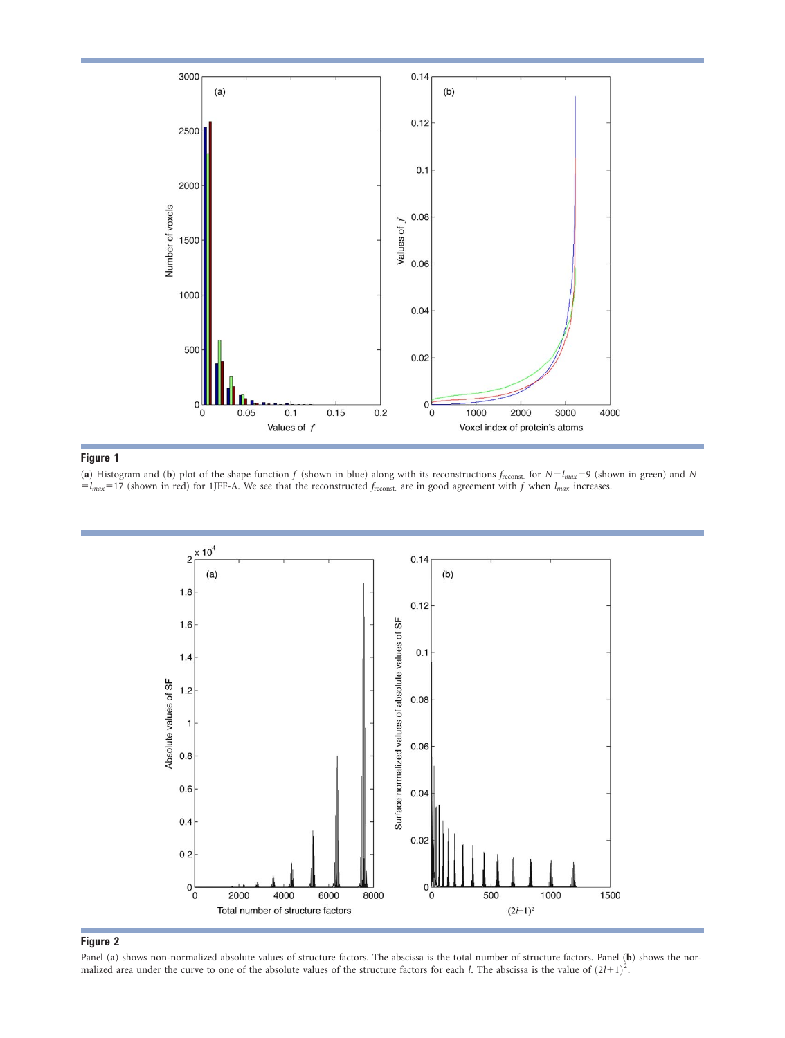

# Figure 1

(a) Histogram and (b) plot of the shape function f (shown in blue) along with its reconstructions  $f_{\text{reconst.}}$  for  $N = I_{max} = 9$  (shown in green) and N  $=$   $I_{max}$  = 17 (shown in red) for 1JFF-A. We see that the reconstructed  $f_{\text{reconst.}}$  are in good agreement with f when  $I_{max}$  increases.



## Figure 2

Panel (a) shows non-normalized absolute values of structure factors. The abscissa is the total number of structure factors. Panel (b) shows the normalized area under the curve to one of the absolute values of the structure factors for each l. The abscissa is the value of  $(2l+1)^2$ .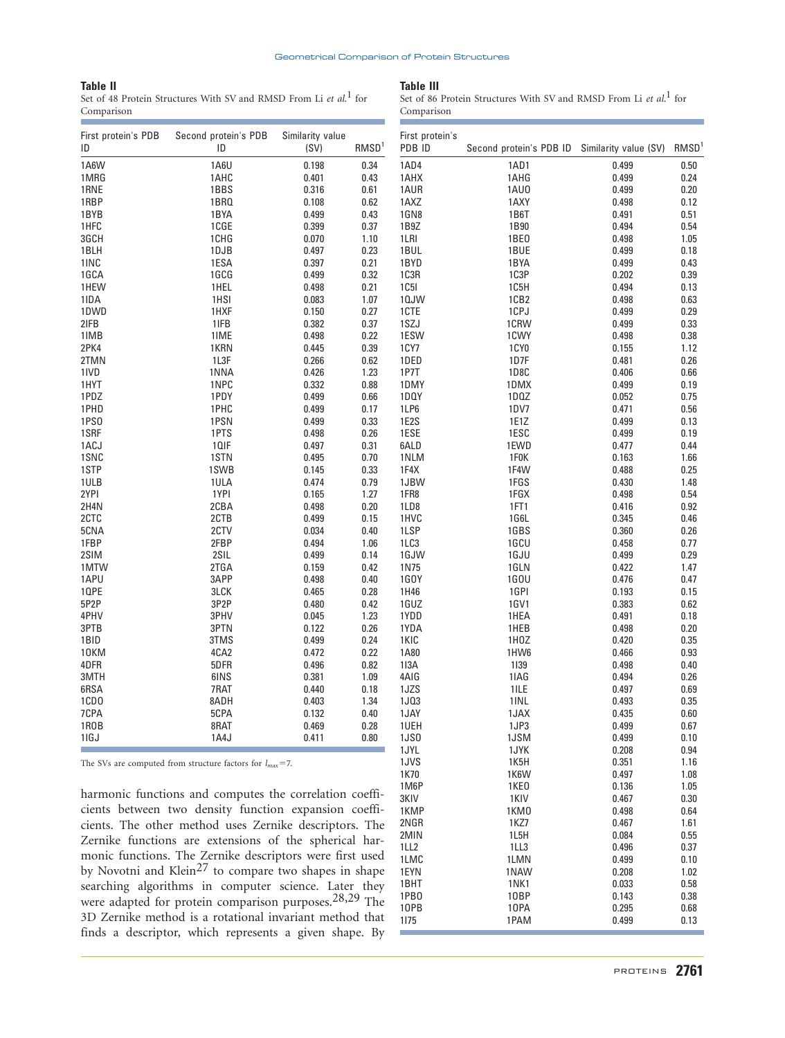#### Table II

Set of 48 Protein Structures With SV and RMSD From Li et al.<sup>1</sup> for Comparison

## Table III

Set of 86 Protein Structures With SV and RMSD From Li et al.<sup>1</sup> for Comparison

| First protein's PDB<br>ID | Second protein's PDB<br>ID                                    | Similarity value<br>(SV) | RMSD <sup>1</sup> | First protein's<br>PDB ID | Second protein's PDB ID Similarity value (SV) |       | RMSD |
|---------------------------|---------------------------------------------------------------|--------------------------|-------------------|---------------------------|-----------------------------------------------|-------|------|
| 1A6W                      | 1A6U                                                          | 0.198                    | 0.34              | 1AD4                      | 1AD1                                          | 0.499 | 0.50 |
| 1MRG                      | 1AHC                                                          | 0.401                    | 0.43              | 1AHX                      | 1AHG                                          | 0.499 | 0.24 |
| 1RNE                      | 1BBS                                                          | 0.316                    | 0.61              | 1AUR                      | 1AU0                                          | 0.499 | 0.20 |
| 1RBP                      | 1BRQ                                                          | 0.108                    | 0.62              | 1AXZ                      | 1AXY                                          | 0.498 | 0.12 |
| 1BYB                      | 1BYA                                                          | 0.499                    | 0.43              | 1GN8                      | 1B6T                                          | 0.491 | 0.51 |
| 1HFC                      | 1CGE                                                          | 0.399                    | 0.37              | 1B9Z                      | 1B90                                          | 0.494 | 0.54 |
| 3GCH                      | 1CHG                                                          | 0.070                    | 1.10              | 1LRI                      | 1BE <sub>0</sub>                              | 0.498 | 1.05 |
| 1BLH                      | 1DJB                                                          | 0.497                    | 0.23              | 1BUL                      | 1BUE                                          | 0.499 | 0.18 |
| 1INC                      | 1ESA                                                          | 0.397                    | 0.21              | 1BYD                      | 1BYA                                          | 0.499 | 0.43 |
| 1GCA                      | 1GCG                                                          | 0.499                    | 0.32              | 1C3R                      | 1C3P                                          | 0.202 | 0.39 |
| 1HEW                      | 1HEL                                                          | 0.498                    | 0.21              | <b>1C51</b>               | 1C5H                                          | 0.494 | 0.13 |
| 1IDA                      | 1HSI                                                          | 0.083                    | 1.07              | 10JW                      | 1CB <sub>2</sub>                              | 0.498 | 0.63 |
| 1DWD                      | 1HXF                                                          | 0.150                    | 0.27              | 1CTE                      | 1CPJ                                          | 0.499 | 0.29 |
| 2IFB                      | 1IFB                                                          | 0.382                    | 0.37              | 1SZJ                      | 1CRW                                          | 0.499 | 0.33 |
| 1IMB                      | 1IME                                                          | 0.498                    | 0.22              | 1ESW                      | 1CWY                                          | 0.498 | 0.38 |
| 2PK4                      | 1KRN                                                          | 0.445                    | 0.39              | 1 C Y 7                   | 1CY <sub>0</sub>                              | 0.155 | 1.12 |
| 2TMN                      | 1L3F                                                          | 0.266                    | 0.62              | 1DED                      | 1D7F                                          | 0.481 | 0.26 |
| 1IVD                      | 1NNA                                                          | 0.426                    | 1.23              | 1P7T                      | 1D8C                                          | 0.406 | 0.66 |
| 1HYT                      | 1NPC                                                          | 0.332                    | 0.88              | 1DMY                      | 1DMX                                          | 0.499 | 0.19 |
| 1PDZ                      | 1PDY                                                          | 0.499                    | 0.66              | 1DQY                      | 1DQZ                                          | 0.052 | 0.75 |
| 1PHD                      | 1PHC                                                          | 0.499                    | 0.17              | 1LP6                      | 1DV7                                          | 0.471 | 0.56 |
| 1PS <sub>0</sub>          | 1PSN                                                          | 0.499                    | 0.33              | 1E2S                      | 1E1Z                                          | 0.499 | 0.13 |
| 1SRF                      | 1PTS                                                          | 0.498                    | 0.26              | 1ESE                      | 1ESC                                          | 0.499 | 0.19 |
| 1ACJ                      | 10IF                                                          | 0.497                    | 0.31              | 6ALD                      | 1EWD                                          | 0.477 | 0.44 |
| 1SNC                      | 1STN                                                          | 0.495                    | 0.70              | 1NLM                      | 1F0K                                          | 0.163 | 1.66 |
| 1STP                      | 1SWB                                                          | 0.145                    | 0.33              | 1F4X                      | 1F4W                                          | 0.488 | 0.25 |
| 1ULB                      | 1ULA                                                          | 0.474                    | 0.79              | 1JBW                      | 1FGS                                          | 0.430 | 1.48 |
| 2YPI                      | 1YPI                                                          | 0.165                    | 1.27              | 1FR8                      | 1FGX                                          | 0.498 | 0.54 |
| 2H4N                      | 2CBA                                                          | 0.498                    | 0.20              | 1LD8                      | 1FT1                                          | 0.416 | 0.92 |
| 2CTC                      | 2CTB                                                          | 0.499                    | 0.15              | 1HVC                      | 1G6L                                          | 0.345 | 0.46 |
| 5CNA                      | 2CTV                                                          | 0.034                    | 0.40              | 1LSP                      | 1GBS                                          | 0.360 | 0.26 |
| 1FBP                      | 2FBP                                                          | 0.494                    | 1.06              | 1LC3                      | 1GCU                                          | 0.458 | 0.77 |
| 2SIM                      | 2SIL                                                          | 0.499                    | 0.14              | 1GJW                      | 1GJU                                          | 0.499 | 0.29 |
| 1MTW                      | 2TGA                                                          | 0.159                    | 0.42              | 1N75                      | 1GLN                                          | 0.422 | 1.47 |
| 1APU                      | 3APP                                                          | 0.498                    | 0.40              | <b>1GOY</b>               | <b>1GOU</b>                                   | 0.476 | 0.47 |
| <b>10PE</b>               | 3LCK                                                          | 0.465                    | 0.28              | 1H46                      | 1GPI                                          | 0.193 | 0.15 |
| 5P2P                      | 3P2P                                                          | 0.480                    | 0.42              | 1GUZ                      | <b>1GV1</b>                                   | 0.383 | 0.62 |
| 4PHV                      | 3PHV                                                          | 0.045                    | 1.23              | 1YDD                      | 1HEA                                          | 0.491 | 0.18 |
| 3PTB                      | 3PTN                                                          | 0.122                    | 0.26              | 1YDA                      | 1HEB                                          | 0.498 | 0.20 |
| 1BID                      | 3TMS                                                          | 0.499                    | 0.24              | 1KIC                      | 1H <sub>OZ</sub>                              | 0.420 | 0.35 |
| 10KM                      | 4CA2                                                          | 0.472                    | 0.22              | 1A80                      | 1HW6                                          | 0.466 | 0.93 |
| 4DFR                      | 5DFR                                                          | 0.496                    | 0.82              | 113A                      | 1139                                          | 0.498 | 0.40 |
| 3MTH                      | 6INS                                                          | 0.381                    | 1.09              | 4AIG                      | 1IAG                                          | 0.494 | 0.26 |
| 6RSA                      | 7RAT                                                          | 0.440                    | 0.18              | 1JZS                      | 1ILE                                          | 0.497 | 0.69 |
| 1CD <sub>0</sub>          | 8ADH                                                          | 0.403                    | 1.34              | 1JQ3                      | 1INL                                          | 0.493 | 0.35 |
| 7CPA                      | 5CPA                                                          | 0.132                    | 0.40              | 1JAY                      | 1JAX                                          | 0.435 | 0.60 |
| 1R <sub>0</sub> B         | 8RAT                                                          | 0.469                    | 0.28              | 1UEH                      | 1JP3                                          | 0.499 | 0.67 |
| 1IGJ                      | 1A4J                                                          | 0.411                    | 0.80              | 1JS <sub>0</sub>          | 1JSM                                          | 0.499 | 0.10 |
|                           |                                                               |                          |                   | 1JYL                      | 1JYK                                          | 0.208 | 0.94 |
|                           | The SVs are computed from structure factors for $l_{max}$ =7. |                          |                   | 1JVS                      | 1K5H                                          | 0.351 | 1.16 |
|                           |                                                               |                          |                   | 1K70                      | <b>1K6W</b>                                   | 0.497 | 1.08 |

 $\overline{\phantom{a}}$ 

harmonic functions and computes the correlation coefficients between two density function expansion coefficients. The other method uses Zernike descriptors. The Zernike functions are extensions of the spherical harmonic functions. The Zernike descriptors were first used by Novotni and Klein<sup>27</sup> to compare two shapes in shape searching algorithms in computer science. Later they were adapted for protein comparison purposes.28,29 The 3D Zernike method is a rotational invariant method that finds a descriptor, which represents a given shape. By

| 1CRW<br>0.499<br>0.33<br>1ESW<br>1CWY<br>0.498<br>0.38<br>1CY <sub>0</sub><br>1CY7<br>0.155<br>1.12<br>1DED<br>1D7F<br>0.481<br>0.26<br>1P7T<br>1D <sub>8</sub> C<br>0.406<br>0.66<br>1DMY<br>1DMX<br>0.499<br>0.19<br>1DQY<br>0.75<br>1DQZ<br>0.052<br>1LP6<br>1DV7<br>0.471<br>0.56<br>1E1Z<br>0.499<br>0.13<br>1ESC<br>0.499<br>0.19<br>1EWD<br>6ALD<br>0.477<br>0.44<br>1NLM<br>1F <sub>0</sub> K<br>0.163<br>1.66<br>1F4X<br>1F4W<br>0.488<br>0.25<br>1JBW<br>1FGS<br>0.430<br>1.48<br>1FGX<br>1FR8<br>0.498<br>0.54<br>1LD8<br>1FT1<br>0.92<br>0.416<br>1HVC<br>1G6L<br>0.345<br>0.46<br>1LSP<br>1GBS<br>0.26<br>0.360<br>1LC3<br>1GCU<br>0.458<br>0.77<br>1GJW<br>1GJU<br>0.29<br>0.499<br>1N75<br>1GLN<br>0.422<br>1.47<br>1G0Y<br><b>1GOU</b><br>0.476<br>0.47<br>1GPI<br>0.193<br>0.15<br>1GUZ<br>1GV1<br>0.383<br>0.62<br>1HEA<br>0.491<br>0.18<br>1HEB<br>0.498<br>0.20<br>1KIC<br>1H <sub>OZ</sub><br>0.420<br>0.35<br>1HW6<br>1A80<br>0.466<br>0.93<br>1139<br>113A<br>0.498<br>0.40<br>1IAG<br>4AIG<br>0.494<br>0.26<br>1JZS<br>1ILE<br>0.497<br>0.69<br>1INL<br>1JQ3<br>0.493<br>0.35<br>1JAY<br>1JAX<br>0.435<br>0.60<br>1UEH<br>1JP3<br>0.499<br>0.67<br>1JSO<br>1JSM<br>0.499<br>0.10<br>1JYL<br>1JYK<br>0.208<br>0.94<br>1JVS<br>1K5H<br>0.351<br>1.16<br>1K6W<br>1K70<br>1.08<br>0.497<br>1KE <sub>0</sub><br>1M6P<br>0.136<br>1.05<br>1KIV<br>0.467<br>0.30<br>1KM <sub>0</sub><br>0.498<br>0.64<br>1KZ7<br>0.467<br>1.61<br>2MIN<br>1L5H<br>0.55<br>0.084<br>1LL3<br>0.496<br>0.37<br>1LMC<br>1LMN<br>0.499<br>0.10<br>1NAW<br>1EYN<br>0.208<br>1.02<br>1BHT<br>1NK1<br>0.033<br>0.58<br>1PB <sub>0</sub><br>10BP<br>0.38<br>0.143<br>10PB<br>10PA<br>0.295<br>0.68<br>1175<br>1PAM<br>0.499<br>0.13 | 1 UJ V V         | 1 U D Z | <b>0.430</b> | U.UJ |
|-----------------------------------------------------------------------------------------------------------------------------------------------------------------------------------------------------------------------------------------------------------------------------------------------------------------------------------------------------------------------------------------------------------------------------------------------------------------------------------------------------------------------------------------------------------------------------------------------------------------------------------------------------------------------------------------------------------------------------------------------------------------------------------------------------------------------------------------------------------------------------------------------------------------------------------------------------------------------------------------------------------------------------------------------------------------------------------------------------------------------------------------------------------------------------------------------------------------------------------------------------------------------------------------------------------------------------------------------------------------------------------------------------------------------------------------------------------------------------------------------------------------------------------------------------------------------------------------------------------------------------------------------------------------------------------------------------------------------------|------------------|---------|--------------|------|
|                                                                                                                                                                                                                                                                                                                                                                                                                                                                                                                                                                                                                                                                                                                                                                                                                                                                                                                                                                                                                                                                                                                                                                                                                                                                                                                                                                                                                                                                                                                                                                                                                                                                                                                             | 1CTE             | 1CPJ    | 0.499        | 0.29 |
|                                                                                                                                                                                                                                                                                                                                                                                                                                                                                                                                                                                                                                                                                                                                                                                                                                                                                                                                                                                                                                                                                                                                                                                                                                                                                                                                                                                                                                                                                                                                                                                                                                                                                                                             | 1SZJ             |         |              |      |
|                                                                                                                                                                                                                                                                                                                                                                                                                                                                                                                                                                                                                                                                                                                                                                                                                                                                                                                                                                                                                                                                                                                                                                                                                                                                                                                                                                                                                                                                                                                                                                                                                                                                                                                             |                  |         |              |      |
|                                                                                                                                                                                                                                                                                                                                                                                                                                                                                                                                                                                                                                                                                                                                                                                                                                                                                                                                                                                                                                                                                                                                                                                                                                                                                                                                                                                                                                                                                                                                                                                                                                                                                                                             |                  |         |              |      |
|                                                                                                                                                                                                                                                                                                                                                                                                                                                                                                                                                                                                                                                                                                                                                                                                                                                                                                                                                                                                                                                                                                                                                                                                                                                                                                                                                                                                                                                                                                                                                                                                                                                                                                                             |                  |         |              |      |
|                                                                                                                                                                                                                                                                                                                                                                                                                                                                                                                                                                                                                                                                                                                                                                                                                                                                                                                                                                                                                                                                                                                                                                                                                                                                                                                                                                                                                                                                                                                                                                                                                                                                                                                             |                  |         |              |      |
|                                                                                                                                                                                                                                                                                                                                                                                                                                                                                                                                                                                                                                                                                                                                                                                                                                                                                                                                                                                                                                                                                                                                                                                                                                                                                                                                                                                                                                                                                                                                                                                                                                                                                                                             |                  |         |              |      |
|                                                                                                                                                                                                                                                                                                                                                                                                                                                                                                                                                                                                                                                                                                                                                                                                                                                                                                                                                                                                                                                                                                                                                                                                                                                                                                                                                                                                                                                                                                                                                                                                                                                                                                                             |                  |         |              |      |
|                                                                                                                                                                                                                                                                                                                                                                                                                                                                                                                                                                                                                                                                                                                                                                                                                                                                                                                                                                                                                                                                                                                                                                                                                                                                                                                                                                                                                                                                                                                                                                                                                                                                                                                             |                  |         |              |      |
|                                                                                                                                                                                                                                                                                                                                                                                                                                                                                                                                                                                                                                                                                                                                                                                                                                                                                                                                                                                                                                                                                                                                                                                                                                                                                                                                                                                                                                                                                                                                                                                                                                                                                                                             |                  |         |              |      |
|                                                                                                                                                                                                                                                                                                                                                                                                                                                                                                                                                                                                                                                                                                                                                                                                                                                                                                                                                                                                                                                                                                                                                                                                                                                                                                                                                                                                                                                                                                                                                                                                                                                                                                                             | 1E2S             |         |              |      |
|                                                                                                                                                                                                                                                                                                                                                                                                                                                                                                                                                                                                                                                                                                                                                                                                                                                                                                                                                                                                                                                                                                                                                                                                                                                                                                                                                                                                                                                                                                                                                                                                                                                                                                                             | 1ESE             |         |              |      |
|                                                                                                                                                                                                                                                                                                                                                                                                                                                                                                                                                                                                                                                                                                                                                                                                                                                                                                                                                                                                                                                                                                                                                                                                                                                                                                                                                                                                                                                                                                                                                                                                                                                                                                                             |                  |         |              |      |
|                                                                                                                                                                                                                                                                                                                                                                                                                                                                                                                                                                                                                                                                                                                                                                                                                                                                                                                                                                                                                                                                                                                                                                                                                                                                                                                                                                                                                                                                                                                                                                                                                                                                                                                             |                  |         |              |      |
|                                                                                                                                                                                                                                                                                                                                                                                                                                                                                                                                                                                                                                                                                                                                                                                                                                                                                                                                                                                                                                                                                                                                                                                                                                                                                                                                                                                                                                                                                                                                                                                                                                                                                                                             |                  |         |              |      |
|                                                                                                                                                                                                                                                                                                                                                                                                                                                                                                                                                                                                                                                                                                                                                                                                                                                                                                                                                                                                                                                                                                                                                                                                                                                                                                                                                                                                                                                                                                                                                                                                                                                                                                                             |                  |         |              |      |
|                                                                                                                                                                                                                                                                                                                                                                                                                                                                                                                                                                                                                                                                                                                                                                                                                                                                                                                                                                                                                                                                                                                                                                                                                                                                                                                                                                                                                                                                                                                                                                                                                                                                                                                             |                  |         |              |      |
|                                                                                                                                                                                                                                                                                                                                                                                                                                                                                                                                                                                                                                                                                                                                                                                                                                                                                                                                                                                                                                                                                                                                                                                                                                                                                                                                                                                                                                                                                                                                                                                                                                                                                                                             |                  |         |              |      |
|                                                                                                                                                                                                                                                                                                                                                                                                                                                                                                                                                                                                                                                                                                                                                                                                                                                                                                                                                                                                                                                                                                                                                                                                                                                                                                                                                                                                                                                                                                                                                                                                                                                                                                                             |                  |         |              |      |
|                                                                                                                                                                                                                                                                                                                                                                                                                                                                                                                                                                                                                                                                                                                                                                                                                                                                                                                                                                                                                                                                                                                                                                                                                                                                                                                                                                                                                                                                                                                                                                                                                                                                                                                             |                  |         |              |      |
|                                                                                                                                                                                                                                                                                                                                                                                                                                                                                                                                                                                                                                                                                                                                                                                                                                                                                                                                                                                                                                                                                                                                                                                                                                                                                                                                                                                                                                                                                                                                                                                                                                                                                                                             |                  |         |              |      |
|                                                                                                                                                                                                                                                                                                                                                                                                                                                                                                                                                                                                                                                                                                                                                                                                                                                                                                                                                                                                                                                                                                                                                                                                                                                                                                                                                                                                                                                                                                                                                                                                                                                                                                                             |                  |         |              |      |
|                                                                                                                                                                                                                                                                                                                                                                                                                                                                                                                                                                                                                                                                                                                                                                                                                                                                                                                                                                                                                                                                                                                                                                                                                                                                                                                                                                                                                                                                                                                                                                                                                                                                                                                             |                  |         |              |      |
|                                                                                                                                                                                                                                                                                                                                                                                                                                                                                                                                                                                                                                                                                                                                                                                                                                                                                                                                                                                                                                                                                                                                                                                                                                                                                                                                                                                                                                                                                                                                                                                                                                                                                                                             |                  |         |              |      |
|                                                                                                                                                                                                                                                                                                                                                                                                                                                                                                                                                                                                                                                                                                                                                                                                                                                                                                                                                                                                                                                                                                                                                                                                                                                                                                                                                                                                                                                                                                                                                                                                                                                                                                                             |                  |         |              |      |
|                                                                                                                                                                                                                                                                                                                                                                                                                                                                                                                                                                                                                                                                                                                                                                                                                                                                                                                                                                                                                                                                                                                                                                                                                                                                                                                                                                                                                                                                                                                                                                                                                                                                                                                             | 1H46             |         |              |      |
|                                                                                                                                                                                                                                                                                                                                                                                                                                                                                                                                                                                                                                                                                                                                                                                                                                                                                                                                                                                                                                                                                                                                                                                                                                                                                                                                                                                                                                                                                                                                                                                                                                                                                                                             |                  |         |              |      |
|                                                                                                                                                                                                                                                                                                                                                                                                                                                                                                                                                                                                                                                                                                                                                                                                                                                                                                                                                                                                                                                                                                                                                                                                                                                                                                                                                                                                                                                                                                                                                                                                                                                                                                                             | 1YDD             |         |              |      |
|                                                                                                                                                                                                                                                                                                                                                                                                                                                                                                                                                                                                                                                                                                                                                                                                                                                                                                                                                                                                                                                                                                                                                                                                                                                                                                                                                                                                                                                                                                                                                                                                                                                                                                                             | 1YDA             |         |              |      |
|                                                                                                                                                                                                                                                                                                                                                                                                                                                                                                                                                                                                                                                                                                                                                                                                                                                                                                                                                                                                                                                                                                                                                                                                                                                                                                                                                                                                                                                                                                                                                                                                                                                                                                                             |                  |         |              |      |
|                                                                                                                                                                                                                                                                                                                                                                                                                                                                                                                                                                                                                                                                                                                                                                                                                                                                                                                                                                                                                                                                                                                                                                                                                                                                                                                                                                                                                                                                                                                                                                                                                                                                                                                             |                  |         |              |      |
|                                                                                                                                                                                                                                                                                                                                                                                                                                                                                                                                                                                                                                                                                                                                                                                                                                                                                                                                                                                                                                                                                                                                                                                                                                                                                                                                                                                                                                                                                                                                                                                                                                                                                                                             |                  |         |              |      |
|                                                                                                                                                                                                                                                                                                                                                                                                                                                                                                                                                                                                                                                                                                                                                                                                                                                                                                                                                                                                                                                                                                                                                                                                                                                                                                                                                                                                                                                                                                                                                                                                                                                                                                                             |                  |         |              |      |
|                                                                                                                                                                                                                                                                                                                                                                                                                                                                                                                                                                                                                                                                                                                                                                                                                                                                                                                                                                                                                                                                                                                                                                                                                                                                                                                                                                                                                                                                                                                                                                                                                                                                                                                             |                  |         |              |      |
|                                                                                                                                                                                                                                                                                                                                                                                                                                                                                                                                                                                                                                                                                                                                                                                                                                                                                                                                                                                                                                                                                                                                                                                                                                                                                                                                                                                                                                                                                                                                                                                                                                                                                                                             |                  |         |              |      |
|                                                                                                                                                                                                                                                                                                                                                                                                                                                                                                                                                                                                                                                                                                                                                                                                                                                                                                                                                                                                                                                                                                                                                                                                                                                                                                                                                                                                                                                                                                                                                                                                                                                                                                                             |                  |         |              |      |
|                                                                                                                                                                                                                                                                                                                                                                                                                                                                                                                                                                                                                                                                                                                                                                                                                                                                                                                                                                                                                                                                                                                                                                                                                                                                                                                                                                                                                                                                                                                                                                                                                                                                                                                             |                  |         |              |      |
|                                                                                                                                                                                                                                                                                                                                                                                                                                                                                                                                                                                                                                                                                                                                                                                                                                                                                                                                                                                                                                                                                                                                                                                                                                                                                                                                                                                                                                                                                                                                                                                                                                                                                                                             |                  |         |              |      |
|                                                                                                                                                                                                                                                                                                                                                                                                                                                                                                                                                                                                                                                                                                                                                                                                                                                                                                                                                                                                                                                                                                                                                                                                                                                                                                                                                                                                                                                                                                                                                                                                                                                                                                                             |                  |         |              |      |
|                                                                                                                                                                                                                                                                                                                                                                                                                                                                                                                                                                                                                                                                                                                                                                                                                                                                                                                                                                                                                                                                                                                                                                                                                                                                                                                                                                                                                                                                                                                                                                                                                                                                                                                             |                  |         |              |      |
|                                                                                                                                                                                                                                                                                                                                                                                                                                                                                                                                                                                                                                                                                                                                                                                                                                                                                                                                                                                                                                                                                                                                                                                                                                                                                                                                                                                                                                                                                                                                                                                                                                                                                                                             |                  |         |              |      |
|                                                                                                                                                                                                                                                                                                                                                                                                                                                                                                                                                                                                                                                                                                                                                                                                                                                                                                                                                                                                                                                                                                                                                                                                                                                                                                                                                                                                                                                                                                                                                                                                                                                                                                                             |                  |         |              |      |
|                                                                                                                                                                                                                                                                                                                                                                                                                                                                                                                                                                                                                                                                                                                                                                                                                                                                                                                                                                                                                                                                                                                                                                                                                                                                                                                                                                                                                                                                                                                                                                                                                                                                                                                             |                  |         |              |      |
|                                                                                                                                                                                                                                                                                                                                                                                                                                                                                                                                                                                                                                                                                                                                                                                                                                                                                                                                                                                                                                                                                                                                                                                                                                                                                                                                                                                                                                                                                                                                                                                                                                                                                                                             | 3KIV             |         |              |      |
|                                                                                                                                                                                                                                                                                                                                                                                                                                                                                                                                                                                                                                                                                                                                                                                                                                                                                                                                                                                                                                                                                                                                                                                                                                                                                                                                                                                                                                                                                                                                                                                                                                                                                                                             | 1KMP             |         |              |      |
|                                                                                                                                                                                                                                                                                                                                                                                                                                                                                                                                                                                                                                                                                                                                                                                                                                                                                                                                                                                                                                                                                                                                                                                                                                                                                                                                                                                                                                                                                                                                                                                                                                                                                                                             | 2NGR             |         |              |      |
|                                                                                                                                                                                                                                                                                                                                                                                                                                                                                                                                                                                                                                                                                                                                                                                                                                                                                                                                                                                                                                                                                                                                                                                                                                                                                                                                                                                                                                                                                                                                                                                                                                                                                                                             |                  |         |              |      |
|                                                                                                                                                                                                                                                                                                                                                                                                                                                                                                                                                                                                                                                                                                                                                                                                                                                                                                                                                                                                                                                                                                                                                                                                                                                                                                                                                                                                                                                                                                                                                                                                                                                                                                                             | 1LL <sub>2</sub> |         |              |      |
|                                                                                                                                                                                                                                                                                                                                                                                                                                                                                                                                                                                                                                                                                                                                                                                                                                                                                                                                                                                                                                                                                                                                                                                                                                                                                                                                                                                                                                                                                                                                                                                                                                                                                                                             |                  |         |              |      |
|                                                                                                                                                                                                                                                                                                                                                                                                                                                                                                                                                                                                                                                                                                                                                                                                                                                                                                                                                                                                                                                                                                                                                                                                                                                                                                                                                                                                                                                                                                                                                                                                                                                                                                                             |                  |         |              |      |
|                                                                                                                                                                                                                                                                                                                                                                                                                                                                                                                                                                                                                                                                                                                                                                                                                                                                                                                                                                                                                                                                                                                                                                                                                                                                                                                                                                                                                                                                                                                                                                                                                                                                                                                             |                  |         |              |      |
|                                                                                                                                                                                                                                                                                                                                                                                                                                                                                                                                                                                                                                                                                                                                                                                                                                                                                                                                                                                                                                                                                                                                                                                                                                                                                                                                                                                                                                                                                                                                                                                                                                                                                                                             |                  |         |              |      |
|                                                                                                                                                                                                                                                                                                                                                                                                                                                                                                                                                                                                                                                                                                                                                                                                                                                                                                                                                                                                                                                                                                                                                                                                                                                                                                                                                                                                                                                                                                                                                                                                                                                                                                                             |                  |         |              |      |
|                                                                                                                                                                                                                                                                                                                                                                                                                                                                                                                                                                                                                                                                                                                                                                                                                                                                                                                                                                                                                                                                                                                                                                                                                                                                                                                                                                                                                                                                                                                                                                                                                                                                                                                             |                  |         |              |      |
|                                                                                                                                                                                                                                                                                                                                                                                                                                                                                                                                                                                                                                                                                                                                                                                                                                                                                                                                                                                                                                                                                                                                                                                                                                                                                                                                                                                                                                                                                                                                                                                                                                                                                                                             |                  |         |              |      |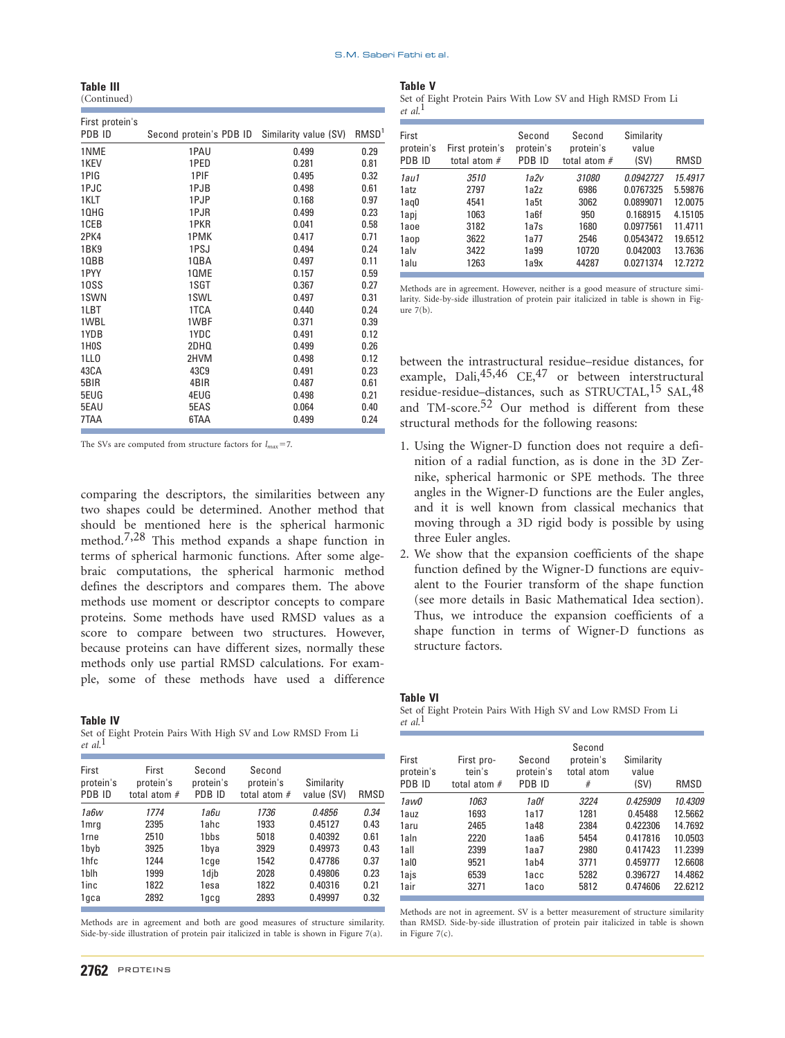| <b>Table III</b><br>(Continued) |                         |                       |                   |
|---------------------------------|-------------------------|-----------------------|-------------------|
| First protein's<br>PDB ID       | Second protein's PDB ID | Similarity value (SV) | RMSD <sup>1</sup> |
| 1NME                            | 1PAU                    | 0.499                 | 0.29              |
| 1KEV                            | 1PED                    | 0.281                 | 0.81              |
| 1PIG                            | 1PIF                    | 0.495                 | 0.32              |
| 1PJC                            | 1PJB                    | 0.498                 | 0.61              |
| 1KLT                            | 1PJP                    | 0.168                 | 0.97              |
| 10HG                            | 1PJR                    | 0.499                 | 0.23              |
| 1CEB                            | 1PKR                    | 0.041                 | 0.58              |
| 2PK4                            | 1PMK                    | 0.417                 | 0.71              |
| 1BK9                            | 1PSJ                    | 0.494                 | 0.24              |
| 10 <sub>B</sub> B               | 10BA                    | 0.497                 | 0.11              |
| 1PYY                            | 10ME                    | 0.157                 | 0.59              |

1OSS 1SGT 0.367 0.27 1SWN 1SWL 0.497 0.31 1LBT 1TCA 0.440 0.24 1WBL 1WBF 0.371 0.39 1YDB 1YDC 0.491 0.12 1H0S 2DHQ 0.499 0.26 1LLO 2HVM 0.498 0.12 43CA 43C9 0.491 0.23 5BIR 4BIR 0.487 0.61 5EUG 4EUG 0.498 0.21 5EAU 5EAS 0.064 0.40 7TAA 6TAA 0.499 0.24

The SVs are computed from structure factors for  $l_{max}=7$ .

comparing the descriptors, the similarities between any two shapes could be determined. Another method that should be mentioned here is the spherical harmonic method.<sup>7,28</sup> This method expands a shape function in terms of spherical harmonic functions. After some algebraic computations, the spherical harmonic method defines the descriptors and compares them. The above methods use moment or descriptor concepts to compare proteins. Some methods have used RMSD values as a score to compare between two structures. However, because proteins can have different sizes, normally these methods only use partial RMSD calculations. For example, some of these methods have used a difference

| <b>Table IV</b>   |                                                              |  |  |  |  |
|-------------------|--------------------------------------------------------------|--|--|--|--|
|                   | Set of Eight Protein Pairs With High SV and Low RMSD From Li |  |  |  |  |
| $_{et}$ al $^{1}$ |                                                              |  |  |  |  |

et al.

| First<br>protein's<br>PDB ID | First<br>protein's<br>total atom $#$ | Second<br>protein's<br>PDB ID | Second<br>protein's<br>total atom $#$ | Similarity<br>value (SV) | RMSD |
|------------------------------|--------------------------------------|-------------------------------|---------------------------------------|--------------------------|------|
| 1a6w                         | 1774                                 | 1а6и                          | 1736                                  | 0.4856                   | 0.34 |
| 1 <sub>mrg</sub>             | 2395                                 | 1ahc                          | 1933                                  | 0.45127                  | 0.43 |
| 1 <sub>rne</sub>             | 2510                                 | 1bbs                          | 5018                                  | 0.40392                  | 0.61 |
| 1byb                         | 3925                                 | 1bya                          | 3929                                  | 0.49973                  | 0.43 |
| 1hfc                         | 1244                                 | 1cge                          | 1542                                  | 0.47786                  | 0.37 |
| 1 <sub>blh</sub>             | 1999                                 | 1djb                          | 2028                                  | 0.49806                  | 0.23 |
| 1inc                         | 1822                                 | 1esa                          | 1822                                  | 0.40316                  | 0.21 |
| 1qca                         | 2892                                 | 1gcg                          | 2893                                  | 0.49997                  | 0.32 |

Methods are in agreement and both are good measures of structure similarity. Side-by-side illustration of protein pair italicized in table is shown in Figure 7(a).

#### Table V

Set of Eight Protein Pairs With Low SV and High RMSD From Li et al. 1

| First<br>protein's<br>PDB ID | First protein's<br>total atom $#$ | Second<br>protein's<br>PDB ID | Second<br>protein's<br>total atom $#$ | Similarity<br>value<br>(SV) | RMSD    |
|------------------------------|-----------------------------------|-------------------------------|---------------------------------------|-----------------------------|---------|
| 1au1                         | 3510                              | 1a2v                          | 31080                                 | 0.0942727                   | 15.4917 |
| 1atz                         | 2797                              | 1a2z                          | 6986                                  | 0.0767325                   | 5.59876 |
| 1ag0                         | 4541                              | 1a5t                          | 3062                                  | 0.0899071                   | 12.0075 |
| 1apj                         | 1063                              | 1a6f                          | 950                                   | 0.168915                    | 4.15105 |
| 1aoe                         | 3182                              | 1a7s                          | 1680                                  | 0.0977561                   | 11.4711 |
| 1aop                         | 3622                              | 1a77                          | 2546                                  | 0.0543472                   | 19.6512 |
| 1alv                         | 3422                              | 1a99                          | 10720                                 | 0.042003                    | 13.7636 |
| 1alu                         | 1263                              | 1a9x                          | 44287                                 | 0.0271374                   | 12.7272 |
|                              |                                   |                               |                                       |                             |         |

Methods are in agreement. However, neither is a good measure of structure similarity. Side-by-side illustration of protein pair italicized in table is shown in Figure 7(b).

between the intrastructural residue–residue distances, for example, Dali,  $45,46$  CE,  $47$  or between interstructural residue-residue-distances, such as STRUCTAL, <sup>15</sup> SAL, <sup>48</sup> and TM-score.52 Our method is different from these structural methods for the following reasons:

- 1. Using the Wigner-D function does not require a definition of a radial function, as is done in the 3D Zernike, spherical harmonic or SPE methods. The three angles in the Wigner-D functions are the Euler angles, and it is well known from classical mechanics that moving through a 3D rigid body is possible by using three Euler angles.
- 2. We show that the expansion coefficients of the shape function defined by the Wigner-D functions are equivalent to the Fourier transform of the shape function (see more details in Basic Mathematical Idea section). Thus, we introduce the expansion coefficients of a shape function in terms of Wigner-D functions as structure factors.

#### Table VI

Set of Eight Protein Pairs With High SV and Low RMSD From Li et al. 1

| First<br>protein's<br>PDB ID | First pro-<br>tein's<br>total atom $#$ | Second<br>protein's<br>PDB ID | Second<br>protein's<br>total atom<br># | Similarity<br>value<br>(SV) | RMSD    |
|------------------------------|----------------------------------------|-------------------------------|----------------------------------------|-----------------------------|---------|
| 1aw0                         | 1063                                   | 1a0f                          | 3224                                   | <i>0.425909</i>             | 10.4309 |
| 1auz                         | 1693                                   | 1a17                          | 1281                                   | 0.45488                     | 12.5662 |
| 1aru                         | 2465                                   | 1a48                          | 2384                                   | 0.422306                    | 14.7692 |
| 1aln                         | 2220                                   | 1aa6                          | 5454                                   | 0.417816                    | 10.0503 |
| 1all                         | 2399                                   | 1aa7                          | 2980                                   | 0.417423                    | 11.2399 |
| 1a 0                         | 9521                                   | 1ab4                          | 3771                                   | 0.459777                    | 12.6608 |
| 1ajs                         | 6539                                   | 1acc                          | 5282                                   | 0.396727                    | 14.4862 |
| 1air                         | 3271                                   | 1aco                          | 5812                                   | 0.474606                    | 22.6212 |

Methods are not in agreement. SV is a better measurement of structure similarity than RMSD. Side-by-side illustration of protein pair italicized in table is shown in Figure 7(c).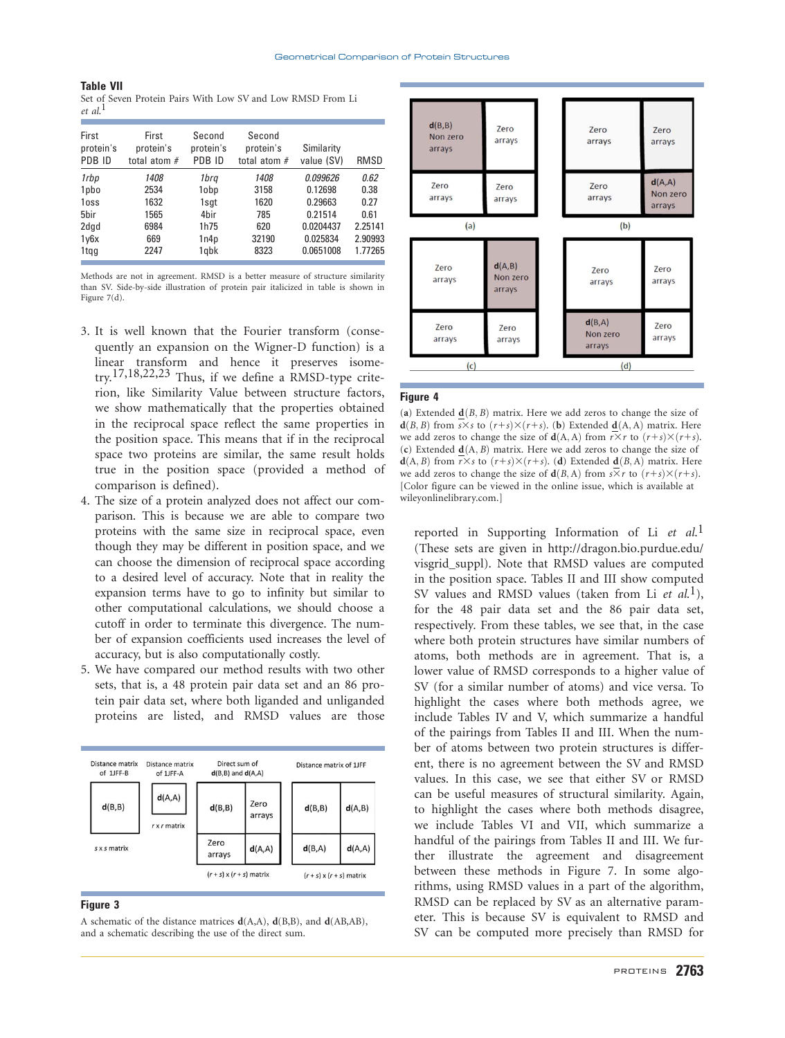## Table VII

|          | Set of Seven Protein Pairs With Low SV and Low RMSD From Li |  |  |  |  |  |
|----------|-------------------------------------------------------------|--|--|--|--|--|
| $et$ al. |                                                             |  |  |  |  |  |

| First<br>protein's<br>PDB ID  | First<br>protein's<br>total atom $#$ | Second<br>protein's<br>PDB ID | Second<br>protein's<br>total atom $#$ | Similarity<br>value (SV) | RMSD    |
|-------------------------------|--------------------------------------|-------------------------------|---------------------------------------|--------------------------|---------|
| 1rbp                          | 1408                                 | 1bra                          | 1408                                  | 0.099626                 | 0.62    |
| 1pbo                          | 2534                                 | 1obp                          | 3158                                  | 0.12698                  | 0.38    |
| 1oss                          | 1632                                 | 1sqt                          | 1620                                  | 0.29663                  | 0.27    |
| 5bir                          | 1565                                 | 4bir                          | 785                                   | 0.21514                  | 0.61    |
| 2dgd                          | 6984                                 | 1h75                          | 620                                   | 0.0204437                | 2.25141 |
| 1 <sub>V</sub> 6 <sub>X</sub> | 669                                  | 1n4p                          | 32190                                 | 0.025834                 | 2.90993 |
| 1tgg                          | 2247                                 | 1gbk                          | 8323                                  | 0.0651008                | 1.77265 |
|                               |                                      |                               |                                       |                          |         |

Methods are not in agreement. RMSD is a better measure of structure similarity than SV. Side-by-side illustration of protein pair italicized in table is shown in Figure 7(d).

- 3. It is well known that the Fourier transform (consequently an expansion on the Wigner-D function) is a linear transform and hence it preserves isometry.<sup>17,18,22,23</sup> Thus, if we define a RMSD-type criterion, like Similarity Value between structure factors, we show mathematically that the properties obtained in the reciprocal space reflect the same properties in the position space. This means that if in the reciprocal space two proteins are similar, the same result holds true in the position space (provided a method of comparison is defined).
- 4. The size of a protein analyzed does not affect our comparison. This is because we are able to compare two proteins with the same size in reciprocal space, even though they may be different in position space, and we can choose the dimension of reciprocal space according to a desired level of accuracy. Note that in reality the expansion terms have to go to infinity but similar to other computational calculations, we should choose a cutoff in order to terminate this divergence. The number of expansion coefficients used increases the level of accuracy, but is also computationally costly.
- 5. We have compared our method results with two other sets, that is, a 48 protein pair data set and an 86 protein pair data set, where both liganded and unliganded proteins are listed, and RMSD values are those



#### Figure 3

A schematic of the distance matrices  $d(A,A), d(B,B),$  and  $d(AB,AB),$ and a schematic describing the use of the direct sum.



## Figure 4

(a) Extended  $d(B, B)$  matrix. Here we add zeros to change the size of  $d(B, B)$  from  $s \times s$  to  $(r+s) \times (r+s)$ . (b) Extended  $d(A, A)$  matrix. Here we add zeros to change the size of  $d(A, A)$  from  $r \times r$  to  $(r+s) \times (r+s)$ . (c) Extended  $d(A, B)$  matrix. Here we add zeros to change the size of  $d(A, B)$  from  $r \times s$  to  $(r+s) \times (r+s)$ . (d) Extended  $d(B, A)$  matrix. Here we add zeros to change the size of  $d(B, A)$  from  $s \times r$  to  $(r+s) \times (r+s)$ . [Color figure can be viewed in the online issue, which is available at [wileyonlinelibrary.com](http://wileyonlinelibrary.com).]

reported in Supporting Information of Li et al.<sup>1</sup> (These sets are given in [http://dragon.bio.purdue.edu/](http://dragon.bio.purdue.edu/visgrid_suppl) [visgrid\\_suppl](http://dragon.bio.purdue.edu/visgrid_suppl)). Note that RMSD values are computed in the position space. Tables II and III show computed SV values and RMSD values (taken from Li  $et al.$ <sup>1</sup>), for the 48 pair data set and the 86 pair data set, respectively. From these tables, we see that, in the case where both protein structures have similar numbers of atoms, both methods are in agreement. That is, a lower value of RMSD corresponds to a higher value of SV (for a similar number of atoms) and vice versa. To highlight the cases where both methods agree, we include Tables IV and V, which summarize a handful of the pairings from Tables II and III. When the number of atoms between two protein structures is different, there is no agreement between the SV and RMSD values. In this case, we see that either SV or RMSD can be useful measures of structural similarity. Again, to highlight the cases where both methods disagree, we include Tables VI and VII, which summarize a handful of the pairings from Tables II and III. We further illustrate the agreement and disagreement between these methods in Figure 7. In some algorithms, using RMSD values in a part of the algorithm, RMSD can be replaced by SV as an alternative parameter. This is because SV is equivalent to RMSD and SV can be computed more precisely than RMSD for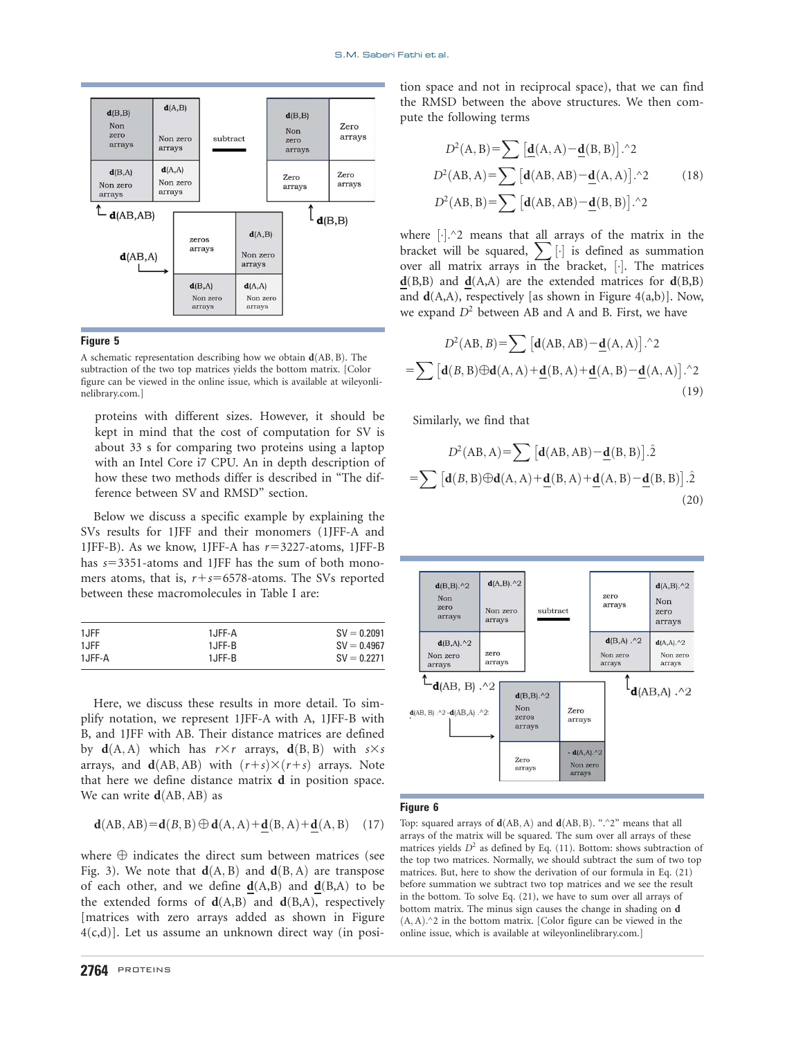

#### Figure 5

A schematic representation describing how we obtain  $d(AB, B)$ . The subtraction of the two top matrices yields the bottom matrix. [Color figure can be viewed in the online issue, which is available at [wileyonli](http://wileyonlinelibrary.com)[nelibrary.com](http://wileyonlinelibrary.com).]

proteins with different sizes. However, it should be kept in mind that the cost of computation for SV is about 33 s for comparing two proteins using a laptop with an Intel Core i7 CPU. An in depth description of how these two methods differ is described in "The difference between SV and RMSD" section.

Below we discuss a specific example by explaining the SVs results for 1JFF and their monomers (1JFF-A and 1JFF-B). As we know, 1JFF-A has  $r=3227$ -atoms, 1JFF-B has  $s=3351$ -atoms and 1JFF has the sum of both monomers atoms, that is,  $r+s=6578$ -atoms. The SVs reported between these macromolecules in Table I are:

| 1JFF   | 1JFF-A  | $SV = 0.2091$ |
|--------|---------|---------------|
| 1JFF   | 1.JFF-B | $SV = 0.4967$ |
| 1JFF-A | 1JFF-B  | $SV = 0.2271$ |

Here, we discuss these results in more detail. To simplify notation, we represent 1JFF-A with A, 1JFF-B with B, and 1JFF with AB. Their distance matrices are defined by  $d(A, A)$  which has  $r \times r$  arrays,  $d(B, B)$  with  $s \times s$ arrays, and  $d(AB, AB)$  with  $(r+s) \times (r+s)$  arrays. Note that here we define distance matrix d in position space. We can write  $d(AB, AB)$  as

$$
\mathbf{d}(AB, AB) = \mathbf{d}(B, B) \oplus \mathbf{d}(A, A) + \mathbf{d}(B, A) + \mathbf{d}(A, B) \quad (17)
$$

where  $\oplus$  indicates the direct sum between matrices (see Fig. 3). We note that  $d(A, B)$  and  $d(B, A)$  are transpose of each other, and we define  $d(A,B)$  and  $d(B,A)$  to be the extended forms of  $d(A,B)$  and  $d(B,A)$ , respectively [matrices with zero arrays added as shown in Figure  $4(c,d)$ ]. Let us assume an unknown direct way (in position space and not in reciprocal space), that we can find the RMSD between the above structures. We then compute the following terms

$$
D^{2}(A, B) = \sum \left[\underline{\mathbf{d}}(A, A) - \underline{\mathbf{d}}(B, B)\right] \cdot 2
$$
  

$$
D^{2}(AB, A) = \sum \left[\underline{\mathbf{d}}(AB, AB) - \underline{\mathbf{d}}(A, A)\right] \cdot 2
$$
 (18)  

$$
D^{2}(AB, B) = \sum \left[\underline{\mathbf{d}}(AB, AB) - \underline{\mathbf{d}}(B, B)\right] \cdot 2
$$

where  $[\cdot]$ .  $\hat{ }$  means that all arrays of the matrix in the where  $\left[\cdot\right]$ . 2 means that an arrays of the matrix in the<br>bracket will be squared,  $\sum [\cdot]$  is defined as summation over all matrix arrays in the bracket,  $[\cdot]$ . The matrices  $d(B,B)$  and  $d(A,A)$  are the extended matrices for  $d(B,B)$ and  $d(A,A)$ , respectively [as shown in Figure 4(a,b)]. Now, we expand  $D^2$  between AB and A and B. First, we have

$$
D^{2}(AB, B) = \sum [d(AB, AB) - \underline{d}(A, A)].^{\wedge 2}
$$

$$
= \sum [d(B, B) \oplus d(A, A) + \underline{d}(B, A) + \underline{d}(A, B) - \underline{d}(A, A)].^{\wedge 2}
$$
(19)

Similarly, we find that

$$
D^{2}(AB, A) = \sum [d(AB, AB) - \underline{d}(B, B)].\hat{2}
$$

$$
= \sum [d(B, B) \oplus d(A, A) + \underline{d}(B, A) + \underline{d}(A, B) - \underline{d}(B, B)].\hat{2}
$$
(20)



#### Figure 6

Top: squared arrays of  $d(AB, A)$  and  $d(AB, B)$ . ".^2" means that all arrays of the matrix will be squared. The sum over all arrays of these matrices yields  $D^2$  as defined by Eq. (11). Bottom: shows subtraction of the top two matrices. Normally, we should subtract the sum of two top matrices. But, here to show the derivation of our formula in Eq. (21) before summation we subtract two top matrices and we see the result in the bottom. To solve Eq. (21), we have to sum over all arrays of bottom matrix. The minus sign causes the change in shading on d  $(A, A)$ .  $\hat{ }$  2 in the bottom matrix. [Color figure can be viewed in the online issue, which is available at [wileyonlinelibrary.com.](http://wileyonlinelibrary.com)]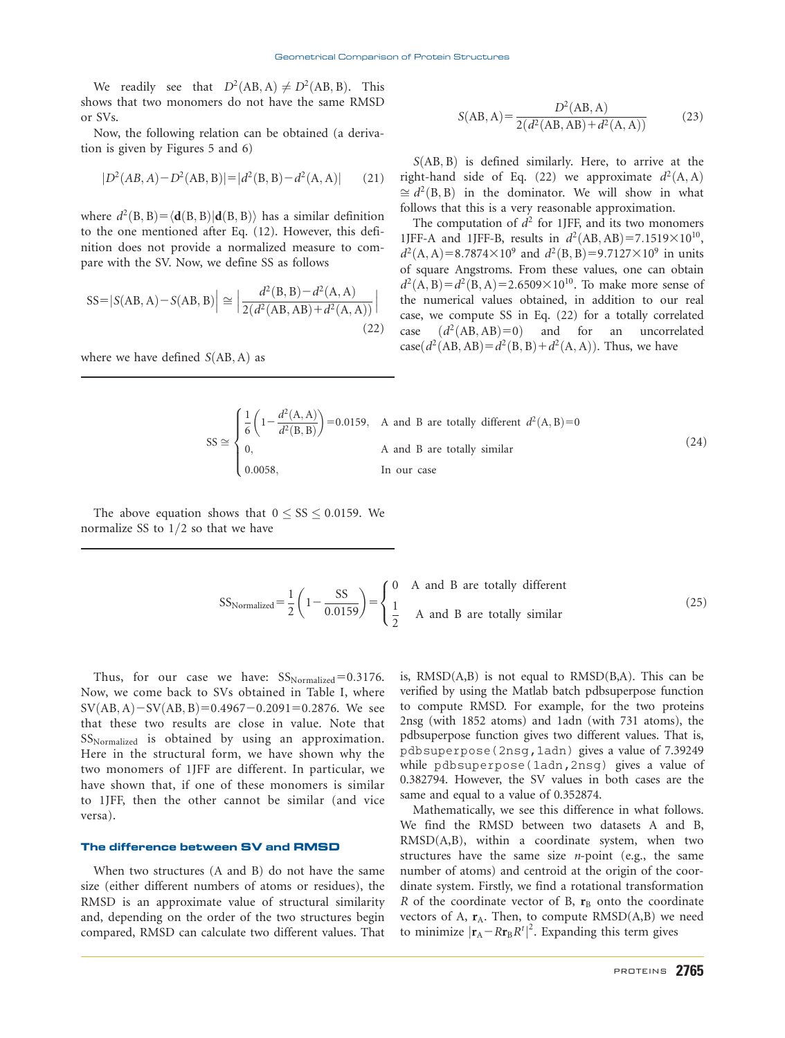We readily see that  $D^2(AB, A) \neq D^2(AB, B)$ . This shows that two monomers do not have the same RMSD or SVs.

Now, the following relation can be obtained (a derivation is given by Figures 5 and 6)

$$
|D^{2}(AB, A) - D^{2}(AB, B)| = |d^{2}(B, B) - d^{2}(A, A)|
$$
 (21)

where  $d^2(B, B) = \langle d(B, B) | d(B, B) \rangle$  has a similar definition to the one mentioned after Eq. (12). However, this definition does not provide a normalized measure to compare with the SV. Now, we define SS as follows

$$
SS = |S(AB, A) - S(AB, B)| \approx \left| \frac{d^2(B, B) - d^2(A, A)}{2(d^2(AB, AB) + d^2(A, A))} \right|
$$
\n(22)

where we have defined  $S(AB, A)$  as

$$
S(AB, A) = {D^2(AB, A) \over 2(d^2(AB, AB) + d^2(A, A))}
$$
(23)

 $S(AB, B)$  is defined similarly. Here, to arrive at the right-hand side of Eq. (22) we approximate  $d^2(A, A)$  $\leq d^2(B, B)$  in the dominator. We will show in what follows that this is a very reasonable approximation.

The computation of  $d^2$  for 1JFF, and its two monomers 1JFF-A and 1JFF-B, results in  $d^2(AB, AB) = 7.1519 \times 10^{10}$ ,  $d^{2}(A, A) = 8.7874 \times 10^{9}$  and  $d^{2}(B, B) = 9.7127 \times 10^{9}$  in units of square Angstroms. From these values, one can obtain  $d^{2}(A, B) = d^{2}(B, A) = 2.6509 \times 10^{10}$ . To make more sense of the numerical values obtained, in addition to our real case, we compute SS in Eq. (22) for a totally correlated case  $(d^2(AB, AB)=0)$  and for an uncorrelated  $\text{case}(d^2(AB, AB) = d^2(B, B) + d^2(A, A))$ . Thus, we have

$$
SS \cong \begin{cases} \frac{1}{6} \left( 1 - \frac{d^2(A, A)}{d^2(B, B)} \right) = 0.0159, & A \text{ and } B \text{ are totally different } d^2(A, B) = 0\\ 0, & A \text{ and } B \text{ are totally similar} \\ 0.0058, & \text{In our case} \end{cases}
$$
(24)

The above equation shows that  $0 \leq SS \leq 0.0159$ . We normalize SS to  $1/2$  so that we have

$$
SS_{\text{Normalized}} = \frac{1}{2} \left( 1 - \frac{SS}{0.0159} \right) = \begin{cases} 0 & \text{A and B are totally different} \\ \frac{1}{2} & \text{A and B are totally similar} \end{cases} \tag{25}
$$

Thus, for our case we have:  $SS_{\text{Normalized}}=0.3176$ . Now, we come back to SVs obtained in Table I, where  $SV(AB, A) - SV(AB, B) = 0.4967 - 0.2091 = 0.2876$ . We see that these two results are close in value. Note that  $SS<sub>Normalized</sub>$  is obtained by using an approximation. Here in the structural form, we have shown why the two monomers of 1JFF are different. In particular, we have shown that, if one of these monomers is similar to 1JFF, then the other cannot be similar (and vice versa).

## The difference between SV and RMSD

When two structures (A and B) do not have the same size (either different numbers of atoms or residues), the RMSD is an approximate value of structural similarity and, depending on the order of the two structures begin compared, RMSD can calculate two different values. That is, RMSD(A,B) is not equal to RMSD(B,A). This can be verified by using the Matlab batch pdbsuperpose function to compute RMSD. For example, for the two proteins 2nsg (with 1852 atoms) and 1adn (with 731 atoms), the pdbsuperpose function gives two different values. That is, pdbsuperpose(2nsg,1adn) gives a value of 7.39249 while pdbsuperpose(1adn,2nsg) gives a value of 0.382794. However, the SV values in both cases are the same and equal to a value of 0.352874.

Mathematically, we see this difference in what follows. We find the RMSD between two datasets A and B, RMSD(A,B), within a coordinate system, when two structures have the same size  $n$ -point (e.g., the same number of atoms) and centroid at the origin of the coordinate system. Firstly, we find a rotational transformation R of the coordinate vector of B,  $r_B$  onto the coordinate vectors of A,  $r_A$ . Then, to compute  $RMSD(A,B)$  we need to minimize  $|\mathbf{r}_A - R\mathbf{r}_B R^t|^2$ . Expanding this term gives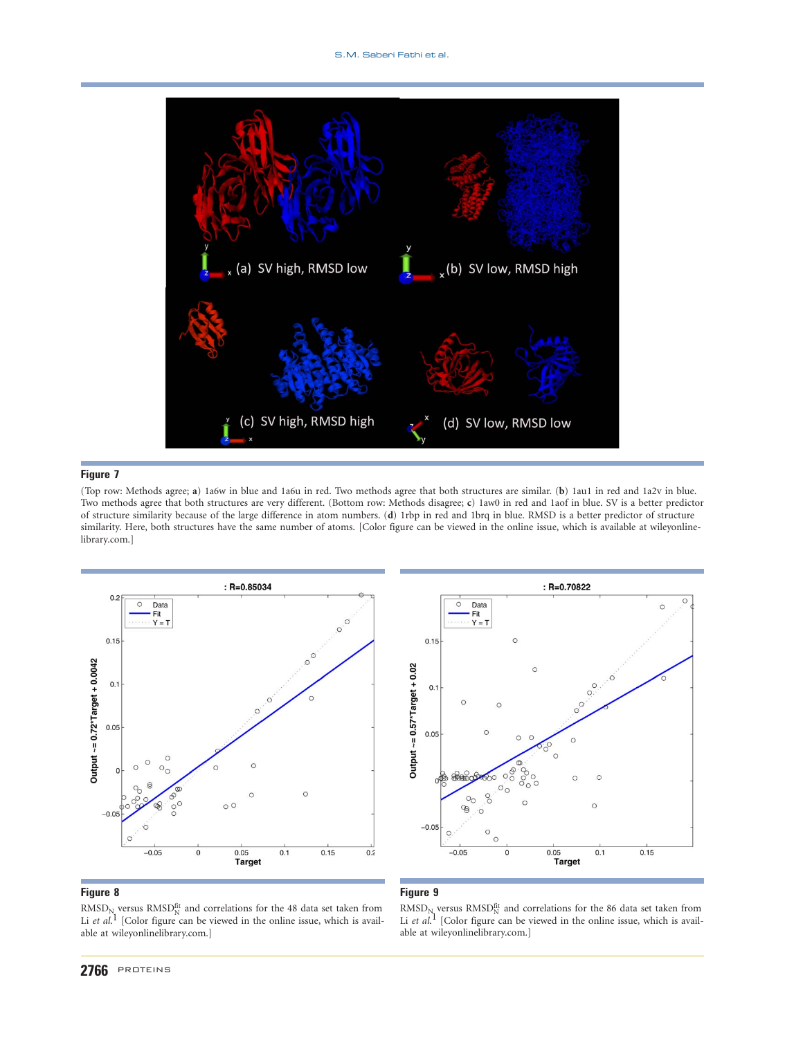

# Figure 7

(Top row: Methods agree; a) 1a6w in blue and 1a6u in red. Two methods agree that both structures are similar. (b) 1au1 in red and 1a2v in blue. Two methods agree that both structures are very different. (Bottom row: Methods disagree; c) 1aw0 in red and 1aof in blue. SV is a better predictor of structure similarity because of the large difference in atom numbers. (d) 1rbp in red and 1brq in blue. RMSD is a better predictor of structure similarity. Here, both structures have the same number of atoms. [Color figure can be viewed in the online issue, which is available at [wileyonline](http://wileyonlinelibrary.com)[library.com.](http://wileyonlinelibrary.com)]





 $\text{RMSD}_{\text{N}}$  versus  $\text{RMSD}_{\text{N}}^{\text{fit}}$  and correlations for the 48 data set taken from Li *et al.*<sup>1</sup> [Color figure can be viewed in the online issue, which is available at [wileyonlinelibrary.com.](http://wileyonlinelibrary.com)]



## Figure 9

 $\text{RMSD}_{\text{N}}$  versus  $\text{RMSD}_{\text{N}}^{\text{fit}}$  and correlations for the 86 data set taken from Li *et al.*<sup>1</sup> [Color figure can be viewed in the online issue, which is available at [wileyonlinelibrary.com.](http://wileyonlinelibrary.com)]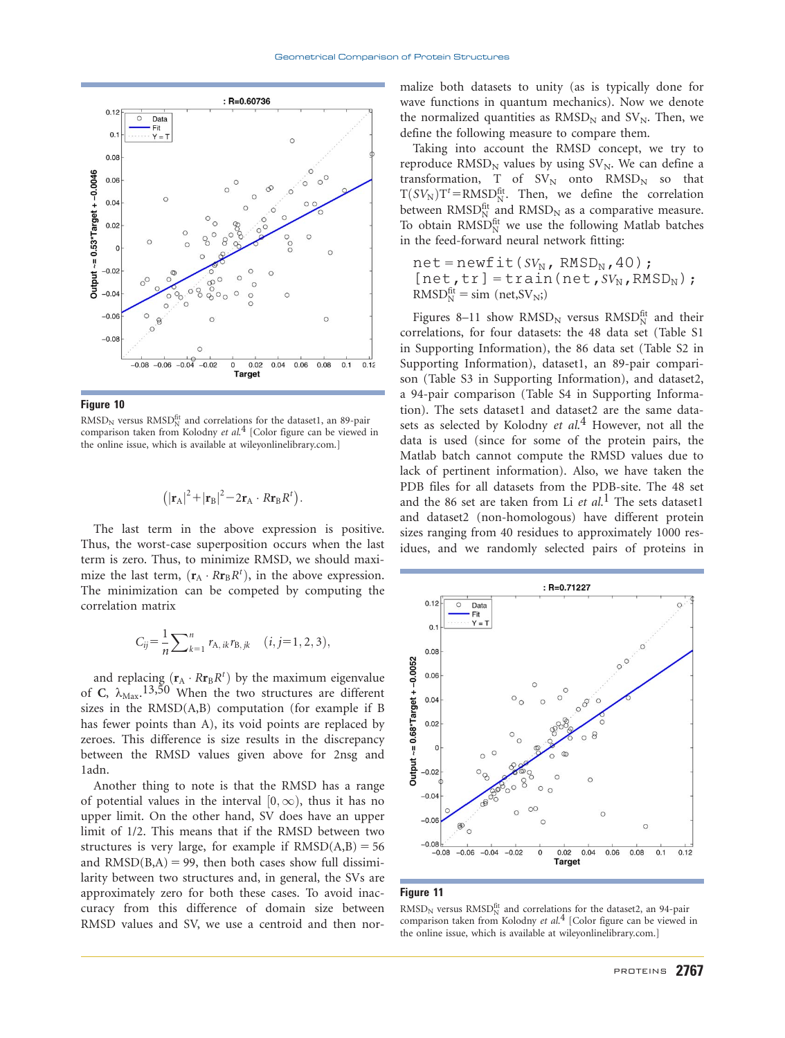



 $RMSD_N$  versus  $RMSD_N^{\text{fit}}$  and correlations for the dataset1, an 89-pair comparison taken from Kolodny et  $al<sup>4</sup>$  [Color figure can be viewed in the online issue, which is available at [wileyonlinelibrary.com.](http://wileyonlinelibrary.com)]

$$
(|\mathbf{r}_{A}|^2 + |\mathbf{r}_{B}|^2 - 2\mathbf{r}_{A} \cdot R\mathbf{r}_{B}R^{t}).
$$

The last term in the above expression is positive. Thus, the worst-case superposition occurs when the last term is zero. Thus, to minimize RMSD, we should maximize the last term,  $(\mathbf{r}_A \cdot R\mathbf{r}_B R^t)$ , in the above expression. The minimization can be competed by computing the correlation matrix

$$
C_{ij} = \frac{1}{n} \sum_{k=1}^{n} r_{A, ik} r_{B, jk} \quad (i, j = 1, 2, 3),
$$

and replacing  $(\mathbf{r}_A \cdot R\mathbf{r}_B R^t)$  by the maximum eigenvalue of C,  $\lambda_{\text{Max}}$ ,  $13,50$  When the two structures are different sizes in the RMSD(A,B) computation (for example if B has fewer points than A), its void points are replaced by zeroes. This difference is size results in the discrepancy between the RMSD values given above for 2nsg and 1adn.

Another thing to note is that the RMSD has a range of potential values in the interval  $[0,\infty)$ , thus it has no upper limit. On the other hand, SV does have an upper limit of 1/2. This means that if the RMSD between two structures is very large, for example if  $RMSD(A,B) = 56$ and  $RMSD(B,A) = 99$ , then both cases show full dissimilarity between two structures and, in general, the SVs are approximately zero for both these cases. To avoid inaccuracy from this difference of domain size between RMSD values and SV, we use a centroid and then normalize both datasets to unity (as is typically done for wave functions in quantum mechanics). Now we denote the normalized quantities as  $RMSD<sub>N</sub>$  and  $SV<sub>N</sub>$ . Then, we define the following measure to compare them.

Taking into account the RMSD concept, we try to reproduce  $RMSD_N$  values by using  $SV_N$ . We can define a transformation, T of  $SV_N$  onto  $RMSD_N$  so that  $T(SV_N)T^t = RMSD_N^{\text{fit}}$ . Then, we define the correlation between  $\text{RMSD}_{\text{N}}^{\text{fit}}$  and  $\text{RMSD}_{\text{N}}$  as a comparative measure. To obtain  $\text{RMSD}_{\text{N}}^{\text{fit}}$  we use the following Matlab batches in the feed-forward neural network fitting:

 $net = newfit(SV_N$ , RMSD $_N$ ,40);  $[net,tr] = train(net,SV_N,RMSD_N);$  $RMSD_N^{\text{fit}} = \text{sim} (\text{net,SV}_N; )$ 

Figures 8–11 show  $\text{RMSD}_N$  versus  $\text{RMSD}_N^{\text{fit}}$  and their correlations, for four datasets: the 48 data set (Table S1 in Supporting Information), the 86 data set (Table S2 in Supporting Information), dataset1, an 89-pair comparison (Table S3 in Supporting Information), and dataset2, a 94-pair comparison (Table S4 in Supporting Information). The sets dataset1 and dataset2 are the same datasets as selected by Kolodny et al.<sup>4</sup> However, not all the data is used (since for some of the protein pairs, the Matlab batch cannot compute the RMSD values due to lack of pertinent information). Also, we have taken the PDB files for all datasets from the PDB-site. The 48 set and the 86 set are taken from Li et al.<sup>1</sup> The sets dataset1 and dataset2 (non-homologous) have different protein sizes ranging from 40 residues to approximately 1000 residues, and we randomly selected pairs of proteins in



#### Figure 11

 $RMSD<sub>N</sub>$  versus  $RMSD<sub>N</sub><sup>fit</sup>$  and correlations for the dataset2, an 94-pair comparison taken from Kolodny et  $al<sup>4</sup>$  [Color figure can be viewed in the online issue, which is available at [wileyonlinelibrary.com.](http://wileyonlinelibrary.com)]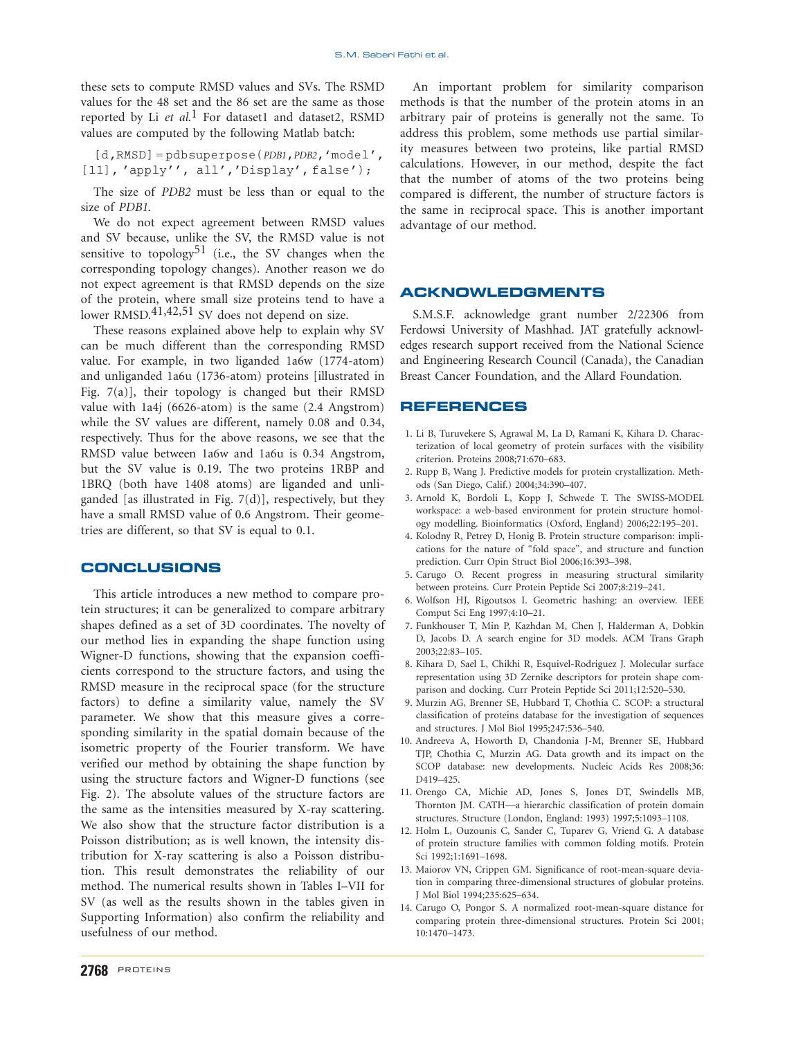these sets to compute RMSD values and SVs. The RSMD values for the 48 set and the 86 set are the same as those reported by Li et al.<sup>1</sup> For dataset1 and dataset2, RSMD values are computed by the following Matlab batch:

 $[d, RMSD] = pdbsuperpose(PDB1, PDB2, 'model',$ [11], 'apply'', all', 'Display', false');

The size of PDB2 must be less than or equal to the size of PDB1.

We do not expect agreement between RMSD values and SV because, unlike the SV, the RMSD value is not sensitive to topology<sup>51</sup> (i.e., the SV changes when the corresponding topology changes). Another reason we do not expect agreement is that RMSD depends on the size of the protein, where small size proteins tend to have a lower RMSD.41,42,51 SV does not depend on size.

These reasons explained above help to explain why SV can be much different than the corresponding RMSD value. For example, in two liganded 1a6w (1774-atom) and unliganded 1a6u (1736-atom) proteins [illustrated in Fig. 7(a)], their topology is changed but their RMSD value with 1a4j (6626-atom) is the same (2.4 Angstrom) while the SV values are different, namely 0.08 and 0.34, respectively. Thus for the above reasons, we see that the RMSD value between 1a6w and 1a6u is 0.34 Angstrom, but the SV value is 0.19. The two proteins 1RBP and 1BRQ (both have 1408 atoms) are liganded and unliganded [as illustrated in Fig.  $7(d)$ ], respectively, but they have a small RMSD value of 0.6 Angstrom. Their geometries are different, so that SV is equal to 0.1.

# CONCLUSIONS

This article introduces a new method to compare protein structures; it can be generalized to compare arbitrary shapes defined as a set of 3D coordinates. The novelty of our method lies in expanding the shape function using Wigner-D functions, showing that the expansion coefficients correspond to the structure factors, and using the RMSD measure in the reciprocal space (for the structure factors) to define a similarity value, namely the SV parameter. We show that this measure gives a corresponding similarity in the spatial domain because of the isometric property of the Fourier transform. We have verified our method by obtaining the shape function by using the structure factors and Wigner-D functions (see Fig. 2). The absolute values of the structure factors are the same as the intensities measured by X-ray scattering. We also show that the structure factor distribution is a Poisson distribution; as is well known, the intensity distribution for X-ray scattering is also a Poisson distribution. This result demonstrates the reliability of our method. The numerical results shown in Tables I–VII for SV (as well as the results shown in the tables given in Supporting Information) also confirm the reliability and usefulness of our method.

An important problem for similarity comparison methods is that the number of the protein atoms in an arbitrary pair of proteins is generally not the same. To address this problem, some methods use partial similarity measures between two proteins, like partial RMSD calculations. However, in our method, despite the fact that the number of atoms of the two proteins being compared is different, the number of structure factors is the same in reciprocal space. This is another important advantage of our method.

# ACKNOWLEDGMENTS

S.M.S.F. acknowledge grant number 2/22306 from Ferdowsi University of Mashhad. JAT gratefully acknowledges research support received from the National Science and Engineering Research Council (Canada), the Canadian Breast Cancer Foundation, and the Allard Foundation.

# **REFERENCES**

- 1. Li B, Turuvekere S, Agrawal M, La D, Ramani K, Kihara D. Characterization of local geometry of protein surfaces with the visibility criterion. Proteins 2008;71:670–683.
- 2. Rupp B, Wang J. Predictive models for protein crystallization. Methods (San Diego, Calif.) 2004;34:390–407.
- 3. Arnold K, Bordoli L, Kopp J, Schwede T. The SWISS-MODEL workspace: a web-based environment for protein structure homology modelling. Bioinformatics (Oxford, England) 2006;22:195–201.
- 4. Kolodny R, Petrey D, Honig B. Protein structure comparison: implications for the nature of "fold space", and structure and function prediction. Curr Opin Struct Biol 2006;16:393–398.
- 5. Carugo O. Recent progress in measuring structural similarity between proteins. Curr Protein Peptide Sci 2007;8:219–241.
- 6. Wolfson HJ, Rigoutsos I. Geometric hashing: an overview. IEEE Comput Sci Eng 1997;4:10–21.
- 7. Funkhouser T, Min P, Kazhdan M, Chen J, Halderman A, Dobkin D, Jacobs D. A search engine for 3D models. ACM Trans Graph 2003;22:83–105.
- 8. Kihara D, Sael L, Chikhi R, Esquivel-Rodriguez J. Molecular surface representation using 3D Zernike descriptors for protein shape comparison and docking. Curr Protein Peptide Sci 2011;12:520–530.
- 9. Murzin AG, Brenner SE, Hubbard T, Chothia C. SCOP: a structural classification of proteins database for the investigation of sequences and structures. J Mol Biol 1995;247:536–540.
- 10. Andreeva A, Howorth D, Chandonia J-M, Brenner SE, Hubbard TJP, Chothia C, Murzin AG. Data growth and its impact on the SCOP database: new developments. Nucleic Acids Res 2008;36: D419–425.
- 11. Orengo CA, Michie AD, Jones S, Jones DT, Swindells MB, Thornton JM. CATH—a hierarchic classification of protein domain structures. Structure (London, England: 1993) 1997;5:1093–1108.
- 12. Holm L, Ouzounis C, Sander C, Tuparev G, Vriend G. A database of protein structure families with common folding motifs. Protein Sci 1992;1:1691–1698.
- 13. Maiorov VN, Crippen GM. Significance of root-mean-square deviation in comparing three-dimensional structures of globular proteins. J Mol Biol 1994;235:625–634.
- 14. Carugo O, Pongor S. A normalized root-mean-square distance for comparing protein three-dimensional structures. Protein Sci 2001; 10:1470–1473.